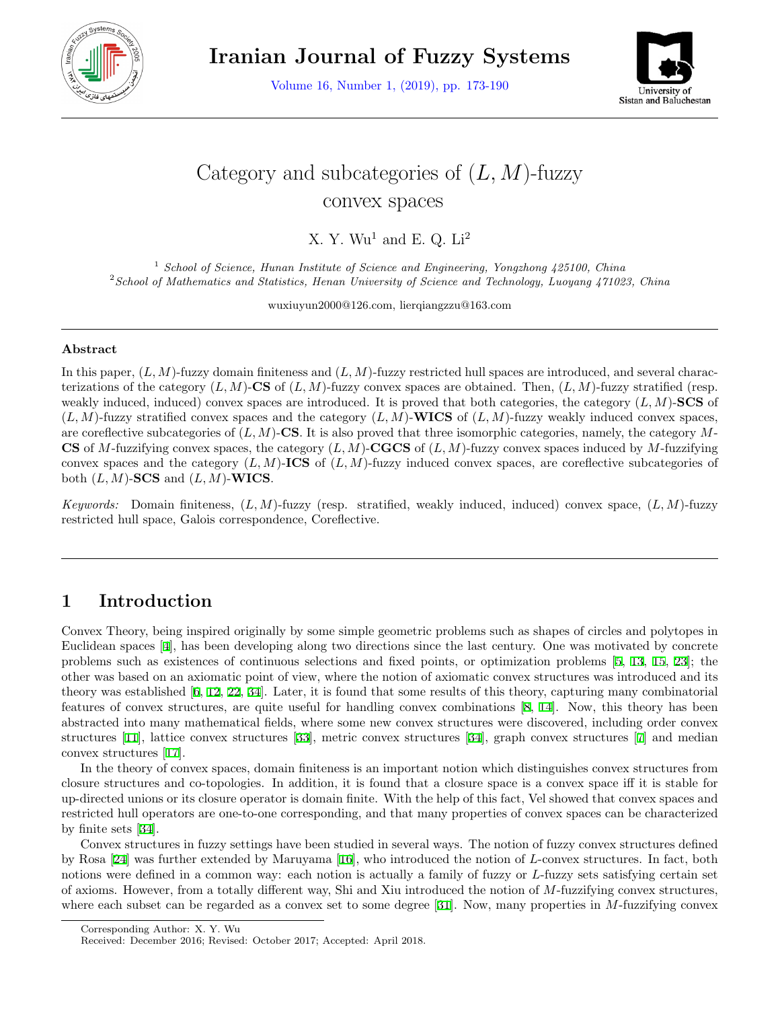

Volume 16, Number 1, (2019), pp. 173-190



# Category and subcategories of (*L, M*)-fuzzy convex spaces

X. Y. Wu<sup>1</sup> and E. O.  $Li<sup>2</sup>$ 

<sup>1</sup> *School of Science, Hunan Institute of Science and Engineering, Yongzhong 425100, China* <sup>2</sup>*School of Mathematics and Statistics, Henan University of Science and Technology, Luoyang 471023, China*

wuxiuyun2000@126.com, lierqiangzzu@163.com

#### **Abstract**

In this paper,  $(L, M)$ -fuzzy domain finiteness and  $(L, M)$ -fuzzy restricted hull spaces are introduced, and several characterizations of the category  $(L, M)$ -**CS** of  $(L, M)$ -fuzzy convex spaces are obtained. Then,  $(L, M)$ -fuzzy stratified (resp. weakly induced, induced) convex spaces are introduced. It is proved that both categories, the category (*L, M*)-**SCS** of (*L, M*)-fuzzy stratified convex spaces and the category (*L, M*)-**WICS** of (*L, M*)-fuzzy weakly induced convex spaces, are coreflective subcategories of (*L, M*)-**CS**. It is also proved that three isomorphic categories, namely, the category *M*-**CS** of *M*-fuzzifying convex spaces, the category (*L, M*)-**CGCS** of (*L, M*)-fuzzy convex spaces induced by *M*-fuzzifying convex spaces and the category  $(L, M)$ **-ICS** of  $(L, M)$ -fuzzy induced convex spaces, are coreflective subcategories of both  $(L, M)$ -**SCS** and  $(L, M)$ -**WICS**.

*Keywords:* Domain finiteness, (*L, M*)-fuzzy (resp. stratified, weakly induced, induced) convex space, (*L, M*)-fuzzy restricted hull space, Galois correspondence, Coreflective.

## **1 Introduction**

Convex Theory, being inspired originally by some simple geometric problems such as shapes of circles and polytopes in Euclidean spaces [[4](#page-16-0)], has been developing along two directions since the last century. One was motivated by concrete problems such as existences of continuous selections and fixed points, or optimization problems [[5](#page-16-1), [13](#page-16-2), [15](#page-16-3), [23\]](#page-16-4); the other was based on an axiomatic point of view, where the notion of axiomatic convex structures was introduced and its theory was established [[6,](#page-16-5) [12,](#page-16-6) [22,](#page-16-7) [34\]](#page-17-0). Later, it is found that some results of this theory, capturing many combinatorial features of convex structures, are quite useful for handling convex combinations [\[8](#page-16-8), [14](#page-16-9)]. Now, this theory has been abstracted into many mathematical fields, where some new convex structures were discovered, including order convex structures [\[11](#page-16-10)], lattice convex structures [[33\]](#page-17-1), metric convex structures [[34\]](#page-17-0), graph convex structures [\[7](#page-16-11)] and median convex structures [\[17](#page-16-12)].

In the theory of convex spaces, domain finiteness is an important notion which distinguishes convex structures from closure structures and co-topologies. In addition, it is found that a closure space is a convex space iff it is stable for up-directed unions or its closure operator is domain finite. With the help of this fact, Vel showed that convex spaces and restricted hull operators are one-to-one corresponding, and that many properties of convex spaces can be characterized by finite sets [[34\]](#page-17-0).

Convex structures in fuzzy settings have been studied in several ways. The notion of fuzzy convex structures defined by Rosa [\[24](#page-16-13)] was further extended by Maruyama [[16\]](#page-16-14), who introduced the notion of *L*-convex structures. In fact, both notions were defined in a common way: each notion is actually a family of fuzzy or *L*-fuzzy sets satisfying certain set of axioms. However, from a totally different way, Shi and Xiu introduced the notion of *M*-fuzzifying convex structures, where each subset can be regarded as a convex set to some degree [[31\]](#page-17-2). Now, many properties in *M*-fuzzifying convex

Corresponding Author: X. Y. Wu

Received: December 2016; Revised: October 2017; Accepted: April 2018.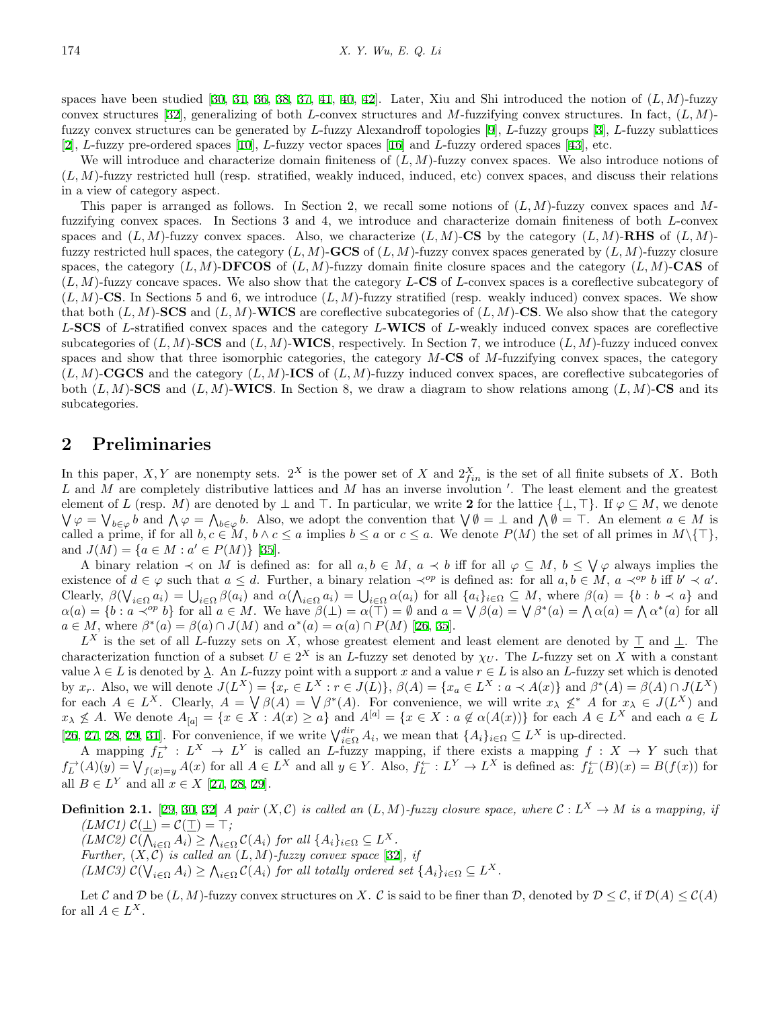spaces have been studied [\[30](#page-17-3), [31](#page-17-2), [36,](#page-17-4) [38,](#page-17-5) [37,](#page-17-6) [41,](#page-17-7) [40](#page-17-8), [42](#page-17-9)]. Later, Xiu and Shi introduced the notion of (*L, M*)-fuzzy convex structures [[32\]](#page-17-10), generalizing of both *L*-convex structures and *M*-fuzzifying convex structures. In fact, (*L, M*) fuzzy convex structures can be generated by *L*-fuzzy Alexandroff topologies [\[9](#page-16-15)], *L*-fuzzy groups [[3\]](#page-16-16), *L*-fuzzy sublattices [[2\]](#page-16-17), *L*-fuzzy pre-ordered spaces [\[10](#page-16-18)], *L*-fuzzy vector spaces [[16\]](#page-16-14) and *L*-fuzzy ordered spaces [[43](#page-17-11)], etc.

We will introduce and characterize domain finiteness of (*L, M*)-fuzzy convex spaces. We also introduce notions of (*L, M*)-fuzzy restricted hull (resp. stratified, weakly induced, induced, etc) convex spaces, and discuss their relations in a view of category aspect.

This paper is arranged as follows. In Section 2, we recall some notions of (*L, M*)-fuzzy convex spaces and *M*fuzzifying convex spaces. In Sections 3 and 4, we introduce and characterize domain finiteness of both *L*-convex spaces and  $(L, M)$ -fuzzy convex spaces. Also, we characterize  $(L, M)$ -**CS** by the category  $(L, M)$ -**RHS** of  $(L, M)$ fuzzy restricted hull spaces, the category (*L, M*)-**GCS** of (*L, M*)-fuzzy convex spaces generated by (*L, M*)-fuzzy closure spaces, the category (*L, M*)-**DFCOS** of (*L, M*)-fuzzy domain finite closure spaces and the category (*L, M*)-**CAS** of (*L, M*)-fuzzy concave spaces. We also show that the category *L*-**CS** of *L*-convex spaces is a coreflective subcategory of  $(L, M)$ **-CS**. In Sections 5 and 6, we introduce  $(L, M)$ -fuzzy stratified (resp. weakly induced) convex spaces. We show that both  $(L, M)$ **-SCS** and  $(L, M)$ **-WICS** are coreflective subcategories of  $(L, M)$ **-CS**. We also show that the category *L*-**SCS** of *L*-stratified convex spaces and the category *L*-**WICS** of *L*-weakly induced convex spaces are coreflective subcategories of  $(L, M)$ **-SCS** and  $(L, M)$ **-WICS**, respectively. In Section 7, we introduce  $(L, M)$ -fuzzy induced convex spaces and show that three isomorphic categories, the category *M*-**CS** of *M*-fuzzifying convex spaces, the category (*L, M*)-**CGCS** and the category (*L, M*)-**ICS** of (*L, M*)-fuzzy induced convex spaces, are coreflective subcategories of both  $(L, M)$ **-SCS** and  $(L, M)$ **-WICS**. In Section 8, we draw a diagram to show relations among  $(L, M)$ **-CS** and its subcategories.

## **2 Preliminaries**

In this paper, *X*, *Y* are nonempty sets. 2<sup>*X*</sup> is the power set of *X* and  $2^{X}_{fin}$  is the set of all finite subsets of *X*. Both *L* and *M* are completely distributive lattices and *M* has an inverse involution *′* . The least element and the greatest element of *L* (resp. *M*) are denoted by  $\perp$  and  $\top$ . In particular, we write **2** for the lattice  $\{\perp, \top\}$ . If  $\varphi \subseteq M$ , we denote  $\bigvee \varphi = \bigvee_{b \in \varphi} b$  and  $\bigwedge \varphi = \bigwedge_{b \in \varphi} b$ . Also, we adopt the convention that  $\bigvee \emptyset = \bot$  and  $\bigwedge \emptyset = \top$ . An element  $a \in M$  is called a prime, if for all  $b, c \in M$ ,  $b \wedge c \le a$  implies  $b \le a$  or  $c \le a$ . We denote  $P(M)$  the set of all primes in  $M \setminus \{\top\},$ and  $J(M) = \{a \in M : a' \in P(M)\}$  [[35\]](#page-17-12).

A binary relation  $\prec$  on M is defined as: for all  $a, b \in M$ ,  $a \prec b$  iff for all  $\varphi \subseteq M$ ,  $b \leq \bigvee \varphi$  always implies the existence of  $d \in \varphi$  such that  $a \leq d$ . Further, a binary relation  $\prec^{op}$  is defined as: for all  $a, b \in M$ ,  $a \prec^{op} b$  iff  $b' \prec a'$ . Clearly,  $\beta(\bigvee_{i\in\Omega}a_i)=\bigcup_{i\in\Omega}\beta(a_i)$  and  $\alpha(\bigwedge_{i\in\Omega}a_i)=\bigcup_{i\in\Omega}\alpha(a_i)$  for all  $\{a_i\}_{i\in\Omega}\subseteq M$ , where  $\beta(a)=\{b : b\prec a\}$  and  $\alpha(a) = \{b : a \prec^{op} b\}$  for all  $a \in M$ . We have  $\beta(\perp) = \alpha(\perp) = \emptyset$  and  $a = \bigvee \beta(a) = \bigvee \beta^*(a) = \bigwedge \alpha(a) = \bigwedge \alpha^*(a)$  for all  $a \in M$ , where  $\beta^*(a) = \beta(a) \cap J(M)$  and  $\alpha^*(a) = \alpha(a) \cap P(M)$  [\[26](#page-17-13), [35](#page-17-12)].

*L <sup>X</sup>* is the set of all *L*-fuzzy sets on *X*, whose greatest element and least element are denoted by *⊤* and *⊥*. The characterization function of a subset  $U \in 2^X$  is an *L*-fuzzy set denoted by  $\chi_U$ . The *L*-fuzzy set on *X* with a constant value  $\lambda \in L$  is denoted by  $\underline{\lambda}$ . An *L*-fuzzy point with a support *x* and a value  $r \in L$  is also an *L*-fuzzy set which is denoted by  $x_r$ . Also, we will denote  $J(L^X) = \{x_r \in L^X : r \in J(L)\}, \ \beta(A) = \{x_a \in L^X : a \prec A(x)\}\$  and  $\beta^*(A) = \beta(A) \cap J(L^X)$ for each  $A \in L^X$ . Clearly,  $A = \bigvee \beta(A) = \bigvee \beta^*(A)$ . For convenience, we will write  $x_\lambda \nleq^* A$  for  $x_\lambda \in J(L^X)$  and  $x_{\lambda} \not\leq A$ . We denote  $A_{[a]} = \{x \in X : A(x) \geq a\}$  and  $A^{[a]} = \{x \in X : a \notin \alpha(A(x))\}$  for each  $A \in L^X$  and each  $a \in L$ [[26,](#page-17-13) [27,](#page-17-14) [28](#page-17-15), [29](#page-17-16), [31](#page-17-2)]. For convenience, if we write  $\bigvee_{i\in\Omega}^{dir} A_i$ , we mean that  $\{A_i\}_{i\in\Omega}\subseteq L^X$  is up-directed.

A mapping  $f_L^{\rightarrow}$  :  $L^X \rightarrow L^Y$  is called an *L*-fuzzy mapping, if there exists a mapping  $f : X \rightarrow Y$  such that  $f_L^{\rightarrow}(A)(y) = \bigvee_{f(x)=y} A(x)$  for all  $A \in L^X$  and all  $y \in Y$ . Also,  $f_L^{\leftarrow}: L^Y \to L^X$  is defined as:  $f_L^{\leftarrow}(B)(x) = B(f(x))$  for all *B* ∈ *L*<sup>Y</sup> and all *x* ∈ *X* [\[27](#page-17-14), [28](#page-17-15), [29\]](#page-17-16).

**Definition 2.1.** [\[29](#page-17-16), [30,](#page-17-3) [32\]](#page-17-10) *A pair*  $(X, \mathcal{C})$  *is called an*  $(L, M)$ *-fuzzy closure space, where*  $\mathcal{C}: L^X \to M$  *is a mapping, if*  $\mathcal{C}(LMC1) \mathcal{C}(\underline{\perp}) = \mathcal{C}(\underline{\top}) = \top;$  $(LMC2) \mathcal{C}(\bigwedge_{i \in \Omega} A_i) \geq \bigwedge_{i \in \Omega} \mathcal{C}(A_i) \text{ for all } \{A_i\}_{i \in \Omega} \subseteq L^X.$ *Further,*  $(X, \mathcal{C})$  *is called an*  $(L, M)$ *-fuzzy convex space* [[32\]](#page-17-10)*, if*  $(LMC3) \mathcal{C}(\bigvee_{i\in\Omega} A_i) \geq \bigwedge_{i\in\Omega} \mathcal{C}(A_i)$  for all totally ordered set  $\{A_i\}_{i\in\Omega} \subseteq L^X$ .

Let *C* and *D* be  $(L, M)$ -fuzzy convex structures on *X*. *C* is said to be finer than *D*, denoted by  $D \le C$ , if  $D(A) \le C(A)$ for all  $A \in L^X$ .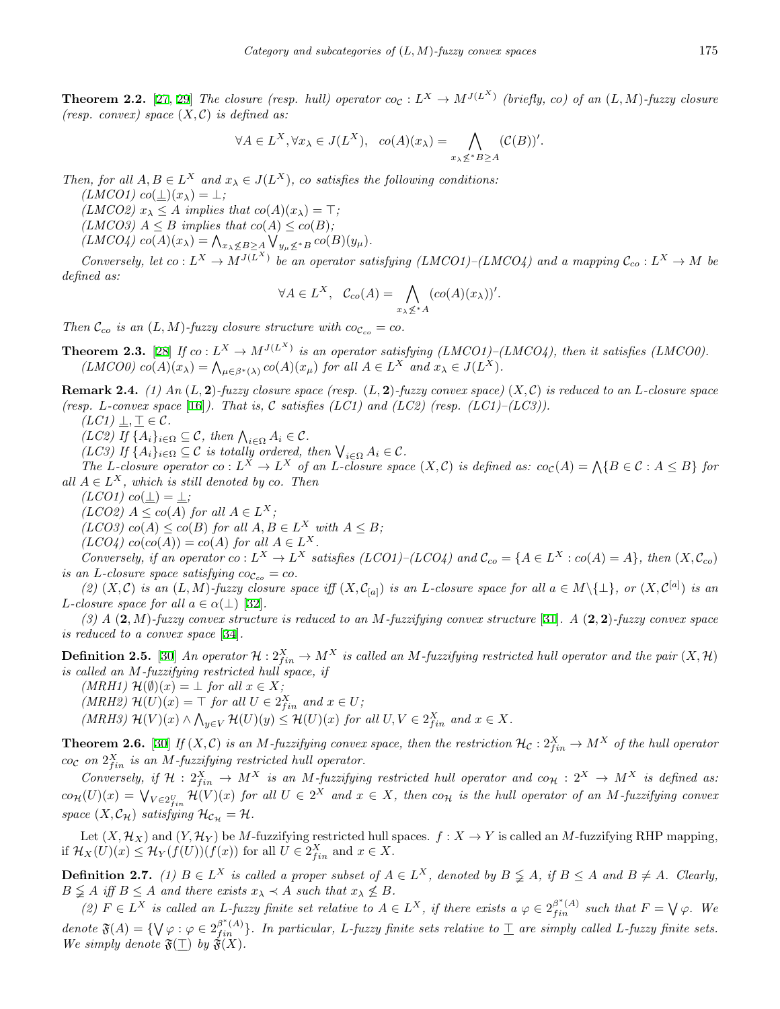**Theorem 2.2.** [[27,](#page-17-14) [29\]](#page-17-16) The closure (resp. hull) operator  $\cos : L^X \to M^{J(L^X)}$  (briefly,  $\infty$ ) of an  $(L, M)$ -fuzzy closure *(resp. convex) space*  $(X, \mathcal{C})$  *is defined as:* 

$$
\forall A \in L^X, \forall x_{\lambda} \in J(L^X), \quad co(A)(x_{\lambda}) = \bigwedge_{x_{\lambda} \not\leq^* B \geq A} (\mathcal{C}(B))'.
$$

*Then, for all*  $A, B \in L^X$  *and*  $x_{\lambda} \in J(L^X)$ *, co satisfies the following conditions:* 

 $(LMCO1)$   $co(\perp)(x_{\lambda}) = \perp;$ 

*(LMCO2)*  $x_{\lambda} \leq A$  *implies that*  $co(A)(x_{\lambda}) = \top$ *;* 

 $(LMCO3)$   $A \leq B$  *implies that*  $co(A) \leq co(B)$ ;

 $(LMCO4)$   $co(A)(x_{\lambda}) = \bigwedge_{x_{\lambda} \not\leq B \geq A} \bigvee_{y_{\mu} \not\leq^* B} co(B)(y_{\mu}).$ 

Conversely, let  $\omega: L^X \to M^{J(L^X)}$  be an operator satisfying (LMCO1)-(LMCO4) and a mapping  $\mathcal{C}_{co}: L^X \to M$  be *defined as:*

$$
\forall A \in L^X, \quad \mathcal{C}_{co}(A) = \bigwedge_{x_\lambda \not\leq^* A} (co(A)(x_\lambda))'.
$$

*Then*  $\mathcal{C}_{co}$  *is an*  $(L, M)$ *-fuzzy closure structure with*  $co_{\mathcal{C}_{co}} = co$ *.* 

**Theorem 2.3.** [\[28](#page-17-15)] *If*  $co: L^X \to M^{J(L^X)}$  is an operator satisfying (LMCO1)–(LMCO4), then it satisfies (LMCO0).  $(LMCO0) \co(A)(x_{\lambda}) = \bigwedge_{\mu \in \beta^*(\lambda)} co(A)(x_{\mu}) \text{ for all } A \in L^X \text{ and } x_{\lambda} \in J(L^X).$ 

**Remark 2.4.** *(1) An* (*L,* **2**)*-fuzzy closure space (resp.* (*L,* **2**)*-fuzzy convex space)* (*X, C*) *is reduced to an L-closure space (resp. L*-convex space [[16\]](#page-16-14)*).* That is, C satisfies (LC1) and (LC2) (resp. (LC1)–(LC3)).

 $$ 

 $(LC2)$  *If*  $\{A_i\}_{i \in \Omega} \subseteq \mathcal{C}$ , then  $\bigwedge_{i \in \Omega} A_i \in \mathcal{C}$ *.* 

*(LC3) If*  ${A_i}_{i \in \Omega}$  ⊆ *C is totally ordered, then*  $\bigvee_{i \in \Omega} A_i$  ∈ *C.* 

The L-closure operator  $\text{co}: L^X \to L^X$  of an L-closure space  $(X, \mathcal{C})$  is defined as:  $\text{co}_{\mathcal{C}}(A) = \bigwedge \{B \in \mathcal{C} : A \leq B\}$  for  $all A \in L^X$ , which is still denoted by *co*. Then

 $(LCO1)$   $co(\perp) = \perp;$ 

 $(LCO2)$   $A \leq co(A)$  *for all*  $A \in L^X$ ;

 $(LCO3)$   $co(A) \leq co(B)$  *for all*  $A, B \in L^X$  *with*  $A \leq B$ ;

 $(LCO4)$   $co(co(A)) = co(A)$  *for all*  $A \in L^X$ .

Conversely, if an operator  $\omega: L^X \to L^X$  satisfies  $(LCO1)$ – $(LCO4)$  and  $C_{co} = \{A \in L^X : co(A) = A\}$ , then  $(X, C_{co})$ *is an L*-closure space satisfying  $\cos c_{\cos} = \cos$ .

(2)  $(X, \mathcal{C})$  is an  $(L, M)$ -fuzzy closure space iff  $(X, \mathcal{C}_{[a]})$  is an L-closure space for all  $a \in M \setminus \{\perp\}$ , or  $(X, \mathcal{C}^{[a]})$  is an *L*-closure space for all  $a \in \alpha(\perp)$  [[32\]](#page-17-10).

*(3) A* (**2***, M*)*-fuzzy convex structure is reduced to an M-fuzzifying convex structure* [[31\]](#page-17-2)*. A* (**2***,* **2**)*-fuzzy convex space is reduced to a convex space* [\[34](#page-17-0)]*.*

**Definition 2.5.** [\[30](#page-17-3)] An operator  $\mathcal{H}: 2^{X}_{fin} \to M^{X}$  is called an M-fuzzifying restricted hull operator and the pair  $(X, \mathcal{H})$ *is called an M-fuzzifying restricted hull space, if*

 $(MRH1)$   $\mathcal{H}(\emptyset)(x) = \perp$  *for all*  $x \in X$ *;*  $(MRH2)$   $\mathcal{H}(U)(x) = \top$  *for all*  $U \in 2_{fin}^X$  *and*  $x \in U$ ;  $(MRH3) \mathcal{H}(V)(x) \wedge \bigwedge_{y \in V} \mathcal{H}(U)(y) \leq \mathcal{H}(U)(x)$  for all  $U, V \in 2_{fin}^X$  and  $x \in X$ .

**Theorem 2.6.** [\[30](#page-17-3)] If  $(X, \mathcal{C})$  is an M-fuzzifying convex space, then the restriction  $\mathcal{H}_{\mathcal{C}}: 2_{fin}^X \to M^X$  of the hull operator  $\cos$  *co*<sub>*C*</sub> *on*  $2_{fin}^X$  *is an M-fuzzifying restricted hull operator.* 

Conversely, if  $\mathcal{H}: 2_{fin}^X \to M^X$  is an M-fuzzifying restricted hull operator and  $co_{\mathcal{H}}: 2^X \to M^X$  is defined as:  $co_{\mathcal{H}}(U)(x) = \bigvee_{V \in 2^U_{fin}} \mathcal{H}(V)(x)$  for all  $U \in 2^X$  and  $x \in X$ , then  $co_{\mathcal{H}}$  is the hull operator of an M-fuzzifying convex *space*  $(X, \mathcal{C}_{\mathcal{H}})$  *satisfying*  $\mathcal{H}_{\mathcal{C}_{\mathcal{H}}} = \mathcal{H}$ *.* 

Let  $(X, \mathcal{H}_X)$  and  $(Y, \mathcal{H}_Y)$  be M-fuzzifying restricted hull spaces.  $f : X \to Y$  is called an *M*-fuzzifying RHP mapping, if  $\mathcal{H}_X(U)(x) \leq \mathcal{H}_Y(f(U))(f(x))$  for all  $U \in 2_{fin}^X$  and  $x \in X$ .

**Definition 2.7.** (1)  $B \in L^X$  is called a proper subset of  $A \in L^X$ , denoted by  $B \nleq A$ , if  $B \leq A$  and  $B \neq A$ . Clearly,  $B \leq A$  *iff*  $B \leq A$  *and there exists*  $x_{\lambda} \prec A$  *such that*  $x_{\lambda} \not\leq B$ *.* 

(2)  $F \in L^X$  is called an L-fuzzy finite set relative to  $A \in L^X$ , if there exists  $a \varphi \in 2_{fin}^{\beta^*(A)}$  such that  $F = \bigvee \varphi$ . We denote  $\mathfrak{F}(A) = \{ \forall \varphi : \varphi \in 2_{fin}^{\beta^*(A)} \}$ . In particular, L-fuzzy finite sets relative to  $\bot$  are simply called L-fuzzy finite sets. *We simply denote*  $\mathfrak{F}(\top)$  *by*  $\mathfrak{F}(X)$ .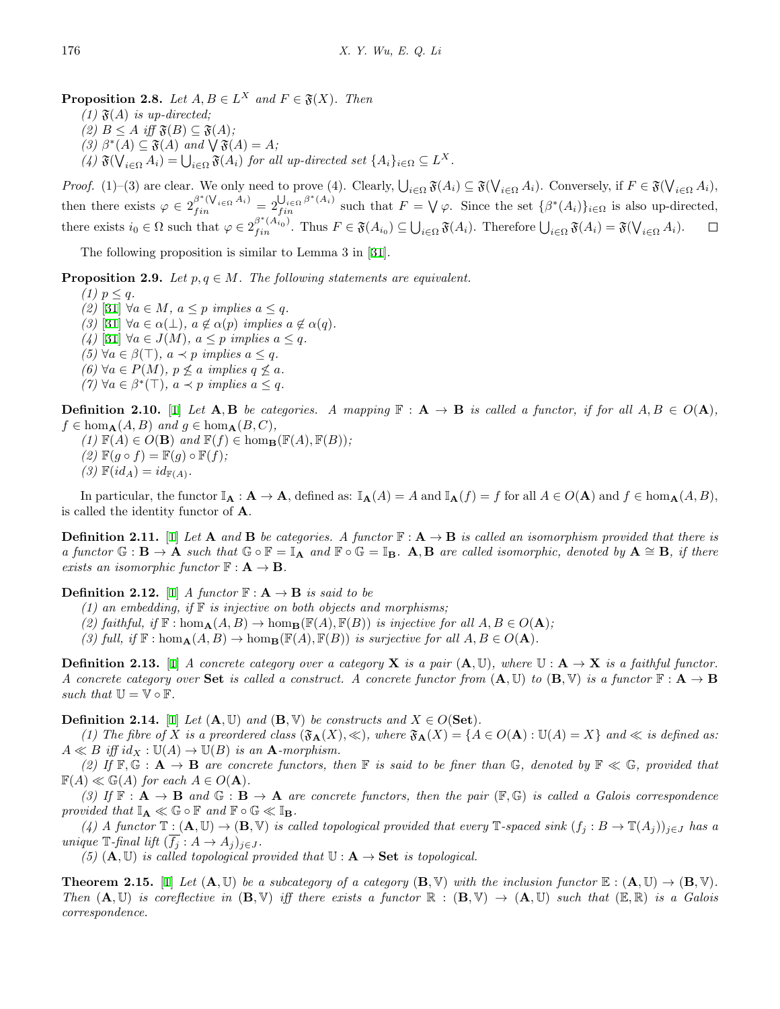**Proposition 2.8.** *Let*  $A, B \in L^X$  *and*  $F \in \mathfrak{F}(X)$ *. Then* 

 $(1)$   $\mathfrak{F}(A)$  *is up-directed*;

- $(2)$   $B \leq A$  *iff*  $\mathfrak{F}(B) \subseteq \mathfrak{F}(A)$ ;
- $(3)$   $\beta^*(A) \subseteq \mathfrak{F}(A)$  *and*  $\bigvee \mathfrak{F}(A) = A$ *;*
- $(4)$   $\mathfrak{F}(\bigvee_{i\in\Omega}A_i) = \bigcup_{i\in\Omega}\mathfrak{F}(A_i)$  *for all up-directed set*  $\{A_i\}_{i\in\Omega}\subseteq L^X$ .

*Proof.* (1)–(3) are clear. We only need to prove (4). Clearly,  $\bigcup_{i\in\Omega} \mathfrak{F}(A_i) \subseteq \mathfrak{F}(\bigvee_{i\in\Omega} A_i)$ . Conversely, if  $F \in \mathfrak{F}(\bigvee_{i\in\Omega} A_i)$ , then there exists  $\varphi \in 2_{fin}^{\beta^*(\bigvee_{i\in \Omega} A_i)} = 2_{fin}^{\bigcup_{i\in \Omega} \beta^*(A_i)}$  such that  $F = \bigvee \varphi$ . Since the set  $\{\beta^*(A_i)\}_{i\in \Omega}$  is also up-directed, there exists  $i_0 \in \Omega$  such that  $\varphi \in 2_{fin}^{\beta^*(A_{i_0})}$ . Thus  $F \in \mathfrak{F}(A_{i_0}) \subseteq \bigcup_{i \in \Omega} \mathfrak{F}(A_i)$ . Therefore  $\bigcup_{i \in \Omega} \mathfrak{F}(A_i) = \mathfrak{F}(\bigvee_{i \in \Omega} A_i)$ .  $\Box$ 

The following proposition is similar to Lemma 3 in [\[31](#page-17-2)].

**Proposition 2.9.** *Let*  $p, q \in M$ *. The following statements are equivalent.* 

*(1)*  $p \leq q$ . *(2)* [[31\]](#page-17-2)  $∀a ∈ M, a ≤ p$  *implies*  $a ≤ q$ *.*  $(3)$  [[31\]](#page-17-2)  $\forall a \in \alpha(\perp), a \notin \alpha(p)$  *implies*  $a \notin \alpha(q)$ .  $(4)$  [[31\]](#page-17-2)  $\forall a \in J(M)$ ,  $a \leq p$  *implies*  $a \leq q$ *. (5)*  $\forall a \in \beta(\top), a \prec p$  *implies*  $a \leq q$ *.*  $(6)$   $\forall a \in P(M)$ ,  $p \nleq a$  *implies*  $q \nleq a$ *. (7)*  $\forall a \in \beta^*(\top), a \prec p \implies a \leq q.$ 

**Definition 2.10.** [[1\]](#page-16-19) Let  $\mathbf{A}$ ,  $\mathbf{B}$  be categories. A mapping  $\mathbb{F}: \mathbf{A} \to \mathbf{B}$  is called a functor, if for all  $A, B \in O(\mathbf{A})$ ,  $f \in \text{hom}_{\mathbf{A}}(A, B)$  *and*  $g \in \text{hom}_{\mathbf{A}}(B, C)$ *,* 

 $(1)$   $\mathbb{F}(A) \in O(\mathbf{B})$  *and*  $\mathbb{F}(f) \in \text{hom}_{\mathbf{B}}(\mathbb{F}(A), \mathbb{F}(B))$ ;  $(2)$   $\mathbb{F}(g \circ f) = \mathbb{F}(g) \circ \mathbb{F}(f)$ ;  $(3)$   $\mathbb{F}(id_A) = id_{\mathbb{F}(A)}$ .

In particular, the functor  $\mathbb{I}_{\mathbf{A}} : \mathbf{A} \to \mathbf{A}$ , defined as:  $\mathbb{I}_{\mathbf{A}}(A) = A$  and  $\mathbb{I}_{\mathbf{A}}(f) = f$  for all  $A \in O(\mathbf{A})$  and  $f \in \text{hom}_{\mathbf{A}}(A, B)$ , is called the identity functor of **A**.

**Definition 2.11.** [[1\]](#page-16-19) Let **A** and **B** be categories. A functor  $\mathbb{F}: \mathbf{A} \to \mathbf{B}$  is called an isomorphism provided that there is a functor  $\mathbb{G}: \mathbf{B} \to \mathbf{A}$  such that  $\mathbb{G} \circ \mathbb{F} = \mathbb{I}_{\mathbf{A}}$  and  $\mathbb{F} \circ \mathbb{G} = \mathbb{I}_{\mathbf{B}}$ . A, B are called isomorphic, denoted by  $\mathbf{A} \cong \mathbf{B}$ , if there *exists an isomorphic functor*  $\mathbb{F}: \mathbf{A} \to \mathbf{B}$ *.* 

**Definition 2.12.** [[1\]](#page-16-19) *A functor*  $\mathbb{F}: \mathbf{A} \to \mathbf{B}$  *is said to be* 

*(1) an embedding, if* F *is injective on both objects and morphisms;*

 $(2)$  faithful, if  $\mathbb{F} : \text{hom}_{\mathbf{A}}(A, B) \to \text{hom}_{\mathbf{B}}(\mathbb{F}(A), \mathbb{F}(B))$  *is injective for all*  $A, B \in O(\mathbf{A})$ *;* 

 $(3)$  full, if  $\mathbb{F}$  : hom<sub>**A**</sub> $(A, B) \rightarrow$  hom<sub>**B**</sub>( $\mathbb{F}(A), \mathbb{F}(B)$ ) is surjective for all  $A, B \in O(A)$ .

**Definition 2.13.** [\[1](#page-16-19)] *A concrete category over a category* **X** *is a pair*  $(A, \mathbb{U})$ *, where*  $\mathbb{U}: A \rightarrow X$  *is a faithful functor. A* concrete category over **Set** is called a construct. A concrete functor from  $(A, \mathbb{U})$  to  $(B, \mathbb{V})$  is a functor  $\mathbb{F}: A \to B$ *such that*  $\mathbb{U} = \mathbb{V} \circ \mathbb{F}$ *.* 

**Definition 2.14.** [[1\]](#page-16-19) *Let*  $(A, \mathbb{U})$  *and*  $(B, \mathbb{V})$  *be constructs and*  $X \in O(\mathbf{Set})$ *.* 

(1) The fibre of X is a preordered class  $(\mathfrak{F}_{A}(X), \ll)$ , where  $\mathfrak{F}_{A}(X) = \{A \in O(A) : \mathbb{U}(A) = X\}$  and  $\ll$  is defined as:  $A \ll B$  *iff*  $id_X : \mathbb{U}(A) \to \mathbb{U}(B)$  *is an* **A***-morphism.* 

*(2)* If  $\mathbb{F}, \mathbb{G} : \mathbf{A} \to \mathbf{B}$  *are concrete functors, then*  $\mathbb{F}$  *is said to be finer than*  $\mathbb{G}$ *, denoted by*  $\mathbb{F} \ll \mathbb{G}$ *, provided that*  $\mathbb{F}(A) \ll \mathbb{G}(A)$  *for each*  $A \in O(\mathbf{A})$ *.* 

*(3)* If  $\mathbb{F}: \mathbf{A} \to \mathbf{B}$  and  $\mathbb{G}: \mathbf{B} \to \mathbf{A}$  are concrete functors, then the pair  $(\mathbb{F}, \mathbb{G})$  is called a Galois correspondence *provided that*  $\mathbb{I}_{\mathbf{A}} \ll \mathbb{G} \circ \mathbb{F}$  *and*  $\mathbb{F} \circ \mathbb{G} \ll \mathbb{I}_{\mathbf{B}}$ *.* 

(4) A functor  $\mathbb{T}:(\mathbf{A},\mathbb{U})\to(\mathbf{B},\mathbb{V})$  is called topological provided that every  $\mathbb{T}$ -spaced sink  $(f_i:B\to \mathbb{T}(A_i))_{i\in J}$  has a *unique*  $\mathbb{T}$ *-final lift*  $(\overline{f_i}: A \rightarrow A_i)_{i \in J}$ .

*(5)*  $(A, U)$  *is called topological provided that*  $U : A \rightarrow Set$  *is topological.* 

**Theorem 2.15.** [[1\]](#page-16-19) Let  $(A, U)$  be a subcategory of a category  $(B, V)$  with the inclusion functor  $E: (A, U) \rightarrow (B, V)$ . *Then*  $(A, \mathbb{U})$  *is coreflective in*  $(B, \mathbb{V})$  *iff there exists a functor*  $\mathbb{R} : (B, \mathbb{V}) \to (A, \mathbb{U})$  *such that*  $(\mathbb{E}, \mathbb{R})$  *is a Galois correspondence.*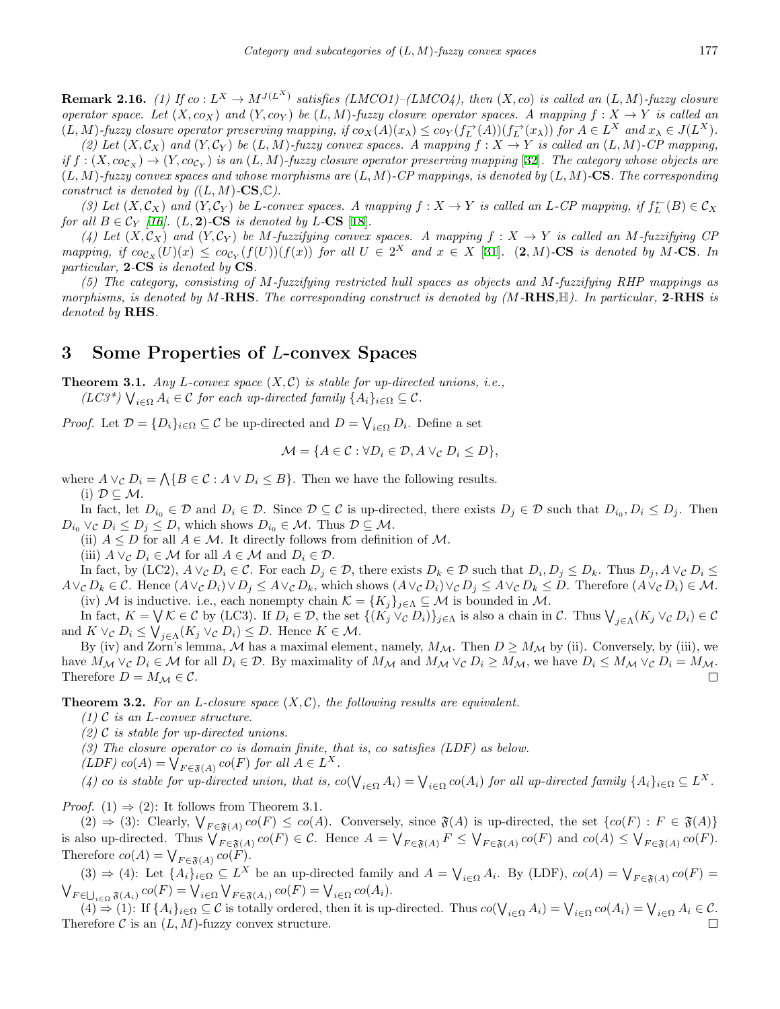**Remark 2.16.** (1) If  $\text{co}: L^X \to M^{J(L^X)}$  satisfies (LMCO1)–(LMCO4), then  $(X, \text{co})$  is called an  $(L, M)$ -fuzzy closure *operator space. Let*  $(X, c_0_X)$  *and*  $(Y, c_0_Y)$  *be*  $(L, M)$ *-fuzzy closure operator spaces. A mapping*  $f: X \to Y$  *is called an*  $(L, M)$ -fuzzy closure operator preserving mapping, if  $\cos(A)(x_\lambda) \leq \cos(f_L^{\rightarrow}(A))(f_L^{\rightarrow}(x_\lambda))$  for  $A \in L^X$  and  $x_\lambda \in J(L^X)$ . (2) Let  $(X, \mathcal{C}_X)$  and  $(Y, \mathcal{C}_Y)$  be  $(L, M)$ -fuzzy convex spaces. A mapping  $f : X \to Y$  is called an  $(L, M)$ -CP mapping,

 $if f: (X, co_{\mathcal{C}_X}) \to (Y, co_{\mathcal{C}_Y})$  *is an*  $(L, M)$ *-fuzzy closure operator preserving mapping* [[32\]](#page-17-10)*. The category whose objects are* (*L, M*)*-fuzzy convex spaces and whose morphisms are* (*L, M*)*-CP mappings, is denoted by* (*L, M*)*-***CS***. The corresponding construct is denoted by*  $((L, M)$ *-CS,*C $)$ *.* 

(3) Let  $(X, \mathcal{C}_X)$  and  $(Y, \mathcal{C}_Y)$  be L-convex spaces. A mapping  $f: X \to Y$  is called an L-CP mapping, if  $f_L^{\leftarrow}(B) \in \mathcal{C}_X$ *for all*  $B \in C_Y$  *[\[16\]](#page-16-14).* (*L,* **2**)*-***CS** *is denoted by L*-**CS** [\[18](#page-16-20)]*.* 

(4) Let  $(X, \mathcal{C}_X)$  and  $(Y, \mathcal{C}_Y)$  be M-fuzzifying convex spaces. A mapping  $f : X \to Y$  is called an M-fuzzifying CP mapping, if  $co_{Cx}(U)(x) \leq co_{Cx}(f(U))(f(x))$  for all  $U \in 2^X$  and  $x \in X$  [[31](#page-17-2)].  $(2,M)$ -CS is denoted by M-CS. In *particular,* **2***-***CS** *is denoted by* **CS***.*

*(5) The category, consisting of M-fuzzifying restricted hull spaces as objects and M-fuzzifying RHP mappings as morphisms, is denoted by M-***RHS***. The corresponding construct is denoted by (M-***RHS***,*H*). In particular,* **2***-***RHS** *is denoted by* **RHS***.*

#### **3 Some Properties of** *L***-convex Spaces**

**Theorem 3.1.** *Any L-convex space* (*X, C*) *is stable for up-directed unions, i.e., (LC3<sup>\*</sup>)*  $\bigvee$ <sub>*i*∈Ω</sub> *A*<sub>*i*</sub> ∈ *C for each up-directed family*  ${A_i}_{i \in \Omega}$  ⊆ *C.* 

*Proof.* Let  $\mathcal{D} = \{D_i\}_{i \in \Omega} \subseteq \mathcal{C}$  be up-directed and  $D = \bigvee_{i \in \Omega} D_i$ . Define a set

$$
\mathcal{M} = \{ A \in \mathcal{C} : \forall D_i \in \mathcal{D}, A \lor_{\mathcal{C}} D_i \le D \},\
$$

where  $A \vee_C D_i = \bigwedge \{ B \in \mathcal{C} : A \vee D_i \leq B \}$ . Then we have the following results. (i) *D ⊆ M*.

In fact, let  $D_{i_0} \in \mathcal{D}$  and  $D_i \in \mathcal{D}$ . Since  $\mathcal{D} \subseteq \mathcal{C}$  is up-directed, there exists  $D_j \in \mathcal{D}$  such that  $D_{i_0}, D_i \leq D_j$ . Then  $D_{i_0} \vee_C D_i \leq D_j \leq D$ , which shows  $D_{i_0} \in \mathcal{M}$ . Thus  $\mathcal{D} \subseteq \mathcal{M}$ .

(ii)  $A \leq D$  for all  $A \in \mathcal{M}$ . It directly follows from definition of  $\mathcal{M}$ .

(iii)  $A \vee_C D_i \in \mathcal{M}$  for all  $A \in \mathcal{M}$  and  $D_i \in \mathcal{D}$ .

In fact, by (LC2),  $A \vee_C D_i \in C$ . For each  $D_j \in \mathcal{D}$ , there exists  $D_k \in \mathcal{D}$  such that  $D_i, D_j \le D_k$ . Thus  $D_j, A \vee_C D_i \le D_j$  $A \vee_{\mathcal{C}} D_k \in \mathcal{C}$ . Hence  $(A \vee_{\mathcal{C}} D_i) \vee D_j \leq A \vee_{\mathcal{C}} D_k$ , which shows  $(A \vee_{\mathcal{C}} D_i) \vee_{\mathcal{C}} D_j \leq A \vee_{\mathcal{C}} D_k \leq D$ . Therefore  $(A \vee_{\mathcal{C}} D_i) \in \mathcal{M}$ . (iv) *M* is inductive. i.e., each nonempty chain  $K = \{K_j\}_{j \in \Lambda} \subseteq \mathcal{M}$  is bounded in *M*.

In fact,  $K = \bigvee \mathcal{K} \in \mathcal{C}$  by (LC3). If  $D_i \in \mathcal{D}$ , the set  $\{(K_j \vee_C D_i)\}_{j \in \Lambda}$  is also a chain in C. Thus  $\bigvee_{j \in \Lambda} (K_j \vee_C D_i) \in \mathcal{C}$ and  $K \vee_{\mathcal{C}} D_i \leq \bigvee_{j \in \Lambda} (K_j \vee_{\mathcal{C}} D_i) \leq D$ . Hence  $K \in \mathcal{M}$ .

By (iv) and Zorn's lemma, *M* has a maximal element, namely,  $M_M$ . Then  $D \geq M_M$  by (ii). Conversely, by (iii), we have  $M_{\mathcal{M}} \vee_{\mathcal{C}} D_i \in \mathcal{M}$  for all  $D_i \in \mathcal{D}$ . By maximality of  $M_{\mathcal{M}}$  and  $M_{\mathcal{M}} \vee_{\mathcal{C}} D_i \geq M_{\mathcal{M}}$ , we have  $D_i \leq M_{\mathcal{M}} \vee_{\mathcal{C}} D_i = M_{\mathcal{M}}$ . Therefore  $D = M_{\mathcal{M}} \in \mathcal{C}$ .

**Theorem 3.2.** *For an L-closure space* (*X, C*)*, the following results are equivalent.*

*(1) C is an L-convex structure.*

*(2) C is stable for up-directed unions.*

*(3) The closure operator co is domain finite, that is, co satisfies (LDF) as below.*

 $(LDF)$   $co(A) = \bigvee_{F \in \mathfrak{F}(A)} co(F)$  *for all*  $A \in L^X$ *.* 

(4) co is stable for up-directed union, that is,  $co(\bigvee_{i\in\Omega}A_i)=\bigvee_{i\in\Omega}co(A_i)$  for all up-directed family  $\{A_i\}_{i\in\Omega}\subseteq L^X$ .

*Proof.* (1)  $\Rightarrow$  (2): It follows from Theorem 3.1.

 $(2) \Rightarrow (3)$ : Clearly,  $\bigvee_{F \in \mathfrak{F}(A)} co(F) \leq co(A)$ . Conversely, since  $\mathfrak{F}(A)$  is up-directed, the set  $\{co(F) : F \in \mathfrak{F}(A)\}\$ is also up-directed. Thus  $\bigvee_{F \in \mathfrak{F}(A)}^{\infty} co(F) \in \mathcal{C}$ . Hence  $A = \bigvee_{F \in \mathfrak{F}(A)} F \leq \bigvee_{F \in \mathfrak{F}(A)} co(F)$  and  $co(A) \leq \bigvee_{F \in \mathfrak{F}(A)} co(F)$ . Therefore  $co(A) = \bigvee_{F \in \mathfrak{F}(A)} co(F)$ .

(3)  $\Rightarrow$  (4): Let  $\{A_i\}_{i\in\Omega} \subseteq L^X$  be an up-directed family and  $A = \bigvee_{i\in\Omega} A_i$ . By (LDF),  $co(A) = \bigvee_{F\in\mathfrak{F}(A)} co(F)$  $V_{F \in \bigcup_{i \in \Omega} \mathfrak{F}(A_i)} co(F) = \bigvee_{i \in \Omega} \bigvee_{F \in \mathfrak{F}(A_i)} co(F) = \bigvee_{i \in \Omega} co(A_i).$ 

 $(4) \Rightarrow (1)$ : If  $\{A_i\}_{i\in\Omega} \subseteq C$  is totally ordered, then it is up-directed. Thus  $co(\bigvee_{i\in\Omega} A_i) = \bigvee_{i\in\Omega} co(A_i) = \bigvee_{i\in\Omega} A_i \in C$ . Therefore  $C$  is an  $(L, M)$ -fuzzy convex structure.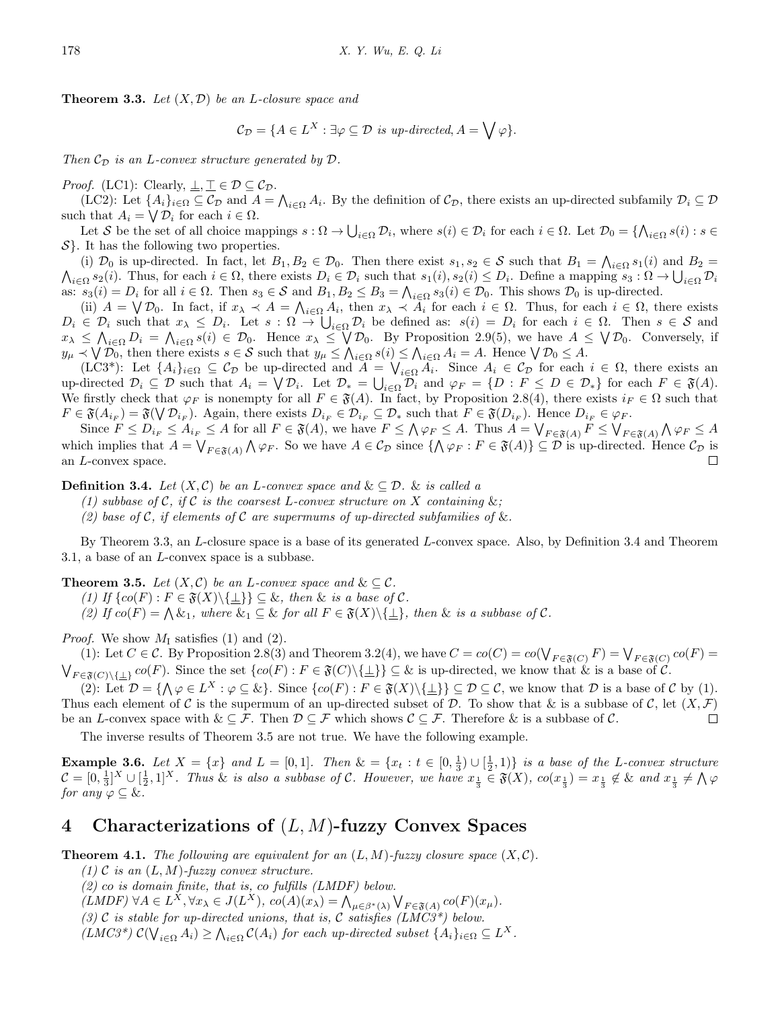**Theorem 3.3.** *Let* (*X, D*) *be an L-closure space and*

$$
\mathcal{C}_{\mathcal{D}} = \{ A \in L^X : \exists \varphi \subseteq \mathcal{D} \text{ is up-directed, } A = \bigvee \varphi \}.
$$

*Then*  $C_{\mathcal{D}}$  *is an L-convex structure generated by*  $\mathcal{D}$ *.* 

*Proof.* (LC1): Clearly,  $\perp$ ,  $\perp \in \mathcal{D} \subseteq \mathcal{C}_{\mathcal{D}}$ .

(LC2): Let  $\{A_i\}_{i\in\Omega}\subseteq\mathcal{C}_{\mathcal{D}}$  and  $A=\bigwedge_{i\in\Omega}A_i$ . By the definition of  $\mathcal{C}_{\mathcal{D}}$ , there exists an up-directed subfamily  $\mathcal{D}_i\subseteq\mathcal{D}$ such that  $A_i = \bigvee \mathcal{D}_i$  for each  $i \in \Omega$ .

Let S be the set of all choice mappings  $s : \Omega \to \bigcup_{i \in \Omega} \mathcal{D}_i$ , where  $s(i) \in \mathcal{D}_i$  for each  $i \in \Omega$ . Let  $\mathcal{D}_0 = \{\bigwedge_{i \in \Omega} s(i) : s \in \Omega\}$ *S}*. It has the following two properties.

(i)  $\mathcal{D}_0$  is up-directed. In fact, let  $B_1, B_2 \in \mathcal{D}_0$ . Then there exist  $s_1, s_2 \in \mathcal{S}$  such that  $B_1 = \bigwedge_{i \in \Omega} s_1(i)$  and  $B_2 = \bigwedge_{i \in \Omega} s_2(i)$ . Thus, for each  $i \in \Omega$ , there exists  $D_i \in \mathcal{D}_i$  such that  $i\in\Omega$   $s_2(i)$ . Thus, for each  $i\in\Omega$ , there exists  $D_i\in\mathcal{D}_i$  such that  $s_1(i), s_2(i)\leq D_i$ . Define a mapping  $s_3:\Omega\to\bigcup_{i\in\Omega}\mathcal{D}_i$ as:  $s_3(i) = D_i$  for all  $i \in \Omega$ . Then  $s_3 \in S$  and  $B_1, B_2 \leq B_3 = \bigwedge_{i \in \Omega} s_3(i) \in \mathcal{D}_0$ . This shows  $\mathcal{D}_0$  is up-directed.

(ii)  $A = \bigvee \mathcal{D}_0$ . In fact, if  $x_{\lambda} \prec A = \bigwedge_{i \in \Omega} A_i$ , then  $x_{\lambda} \prec A_i$  for each  $i \in \Omega$ . Thus, for each  $i \in \Omega$ , there exists  $D_i \in \mathcal{D}_i$  such that  $x_{\lambda} \leq D_i$ . Let  $s : \Omega \to \bigcup_{i \in \Omega} \mathcal{D}_i$  be defined as:  $s(i) = D_i$  for each  $i \in \Omega$ . Then  $s \in \mathcal{S}$  and  $x_{\lambda} \leq \bigwedge_{i\in\Omega}D_i = \bigwedge_{i\in\Omega} s(i) \in \mathcal{D}_0$ . Hence  $x_{\lambda} \leq \bigvee^{\lambda}D_0$ . By Proposition 2.9(5), we have  $A \leq \bigvee^{\lambda}D_0$ . Conversely, if  $y_{\mu} \prec \sqrt{\mathcal{D}_0}$ , then there exists  $s \in \mathcal{S}$  such that  $y_{\mu} \leq \bigwedge_{i \in \Omega} s(i) \leq \bigwedge_{i \in \Omega} A_i = A$ . Hence  $\bigvee \mathcal{D}_0 \leq A$ .

(LC3<sup>\*</sup>): Let  $\{A_i\}_{i\in\Omega} \subseteq C_{\mathcal{D}}$  be up-directed and  $A = \bigvee_{i\in\Omega} A_i$ . Since  $A_i \in C_{\mathcal{D}}$  for each  $i \in \Omega$ , there exists an up-directed  $\mathcal{D}_i \subseteq \mathcal{D}$  such that  $A_i = \bigvee \mathcal{D}_i$ . Let  $\mathcal{D}_* = \bigcup_{i \in \Omega} \mathcal{D}_i$  and  $\varphi_F = \{D : F \leq D \in \mathcal{D}_*\}$  for each  $F \in \mathfrak{F}(A)$ . We firstly check that  $\varphi_F$  is nonempty for all  $F \in \mathfrak{F}(A)$ . In fact, by Proposition 2.8(4), there exists  $i_F \in \Omega$  such that  $F \in \mathfrak{F}(A_{i_F}) = \mathfrak{F}(\bigvee \mathcal{D}_{i_F})$ . Again, there exists  $D_{i_F} \in \mathcal{D}_{i_F} \subseteq \mathcal{D}_{*}$  such that  $F \in \mathfrak{F}(D_{i_F})$ . Hence  $D_{i_F} \in \varphi_F$ .

Since  $F \le D_{i_F} \le A_{i_F} \le A$  for all  $F \in \mathfrak{F}(A)$ , we have  $F \le \Lambda \varphi_F \le A$ . Thus  $A = \bigvee_{F \in \mathfrak{F}(A)} F \le \bigvee_{F \in \mathfrak{F}(A)} \Lambda \varphi_F \le A$ which implies that  $A = \bigvee_{F \in \mathfrak{F}(A)} \bigwedge \varphi_F$ . So we have  $A \in \mathcal{C}_{\mathcal{D}}$  since  $\{\bigwedge \varphi_F : F \in \mathfrak{F}(A)\} \subseteq \mathcal{D}$  is up-directed. Hence  $\mathcal{C}_{\mathcal{D}}$  is an *L*-convex space.  $\Box$ 

**Definition 3.4.** *Let*  $(X, \mathcal{C})$  *be an L*-convex space and  $\& \subseteq \mathcal{D}$ . & *is called a* 

- *(1) subbase of*  $C$ *, if*  $C$  *is the coarsest L-convex structure on*  $X$  *containing*  $\&$ ;
- *(2) base of C, if elements of C are supermums of up-directed subfamilies of* &*.*

By Theorem 3.3, an *L*-closure space is a base of its generated *L*-convex space. Also, by Definition 3.4 and Theorem 3.1, a base of an *L*-convex space is a subbase.

**Theorem 3.5.** *Let*  $(X, \mathcal{C})$  *be an L*-convex space and  $\& \subseteq \mathcal{C}$ *.* 

*(1) If*  $\{co(F) : F \in \mathfrak{F}(X) \setminus \{\perp\}\}\subseteq \&$ , then & is a base of  $\mathcal{C}$ .

*(2) If*  $co(F) = \bigwedge \& 1$ *, where*  $\&_1 ⊆ \&$  *for all*  $F ∈ \mathfrak{F}(X) \setminus {\perp}$ *for then*  $\&$  *is a subbase of*  $C$ *.* 

*Proof.* We show  $M_I$  satisfies (1) and (2).

(1): Let  $C \in \mathcal{C}$ . By Proposition 2.8(3) and Theorem 3.2(4), we have  $C = co(C) = co(\bigvee_{F \in \mathfrak{F}(C)} F) = \bigvee_{F \in \mathfrak{F}(C)} co(F)$  $\bigvee_{F \in \mathfrak{F}(C) \setminus \{\perp\}} co(F)$ . Since the set  $\{co(F) : F \in \mathfrak{F}(C) \setminus \{\perp\}\} \subseteq \& \text{ is up-directed, we know that } \& \text{ is a base of } C.$ 

(2): Let  $\mathcal{D} = \{ \bigwedge \varphi \in L^X : \varphi \subseteq \mathcal{X} \}$ . Since  $\{ co(F) : F \in \mathfrak{F}(X) \setminus \{\perp\} \} \subseteq \mathcal{D} \subseteq \mathcal{C}$ , we know that  $\mathcal D$  is a base of  $\mathcal C$  by (1). Thus each element of *C* is the supermum of an up-directed subset of *D*. To show that & is a subbase of *C*, let  $(X, \mathcal{F})$ be an *L*-convex space with  $\& \subseteq \mathcal{F}$ . Then  $\mathcal{D} \subseteq \mathcal{F}$  which shows  $\mathcal{C} \subseteq \mathcal{F}$ . Therefore  $\&$  is a subbase of  $\mathcal{C}$ .  $\Box$ 

The inverse results of Theorem 3.5 are not true. We have the following example.

**Example 3.6.** Let  $X = \{x\}$  and  $L = [0,1]$ . Then  $\& = \{x_t : t \in [0,\frac{1}{3}) \cup [\frac{1}{2},1)\}$  is a base of the L-convex structure  $\mathcal{C} = [0, \frac{1}{3}]^X \cup [\frac{1}{2}, 1]^X$ . Thus & is also a subbase of C. However, we have  $x_{\frac{1}{3}} \in \mathfrak{F}(X)$ ,  $co(x_{\frac{1}{3}}) = x_{\frac{1}{3}} \notin \mathcal{X}$  and  $x_{\frac{1}{3}} \neq \bigwedge \varphi$ *for any*  $\varphi \subseteq \&$ .

#### **4 Characterizations of** (*L, M*)**-fuzzy Convex Spaces**

**Theorem 4.1.** *The following are equivalent for an*  $(L, M)$ *-fuzzy closure space*  $(X, C)$ *.* 

*(1) C is an* (*L, M*)*-fuzzy convex structure.*

*(2) co is domain finite, that is, co fulfills (LMDF) below.*

 $(LMDF) \ \forall A \in L^X, \forall x_{\lambda} \in J(L^X), \ co(A)(x_{\lambda}) = \bigwedge_{\mu \in \beta^*(\lambda)} \bigvee_{F \in \mathfrak{F}(A)} co(F)(x_{\mu}).$ 

*(3) C is stable for up-directed unions, that is, C satisfies (LMC3\*) below.*

 $(LMC3^*)\mathcal{C}(\bigvee_{i\in\Omega}A_i)\geq\bigwedge_{i\in\Omega}\mathcal{C}(A_i)$  for each up-directed subset  $\{A_i\}_{i\in\Omega}\subseteq L^X$ .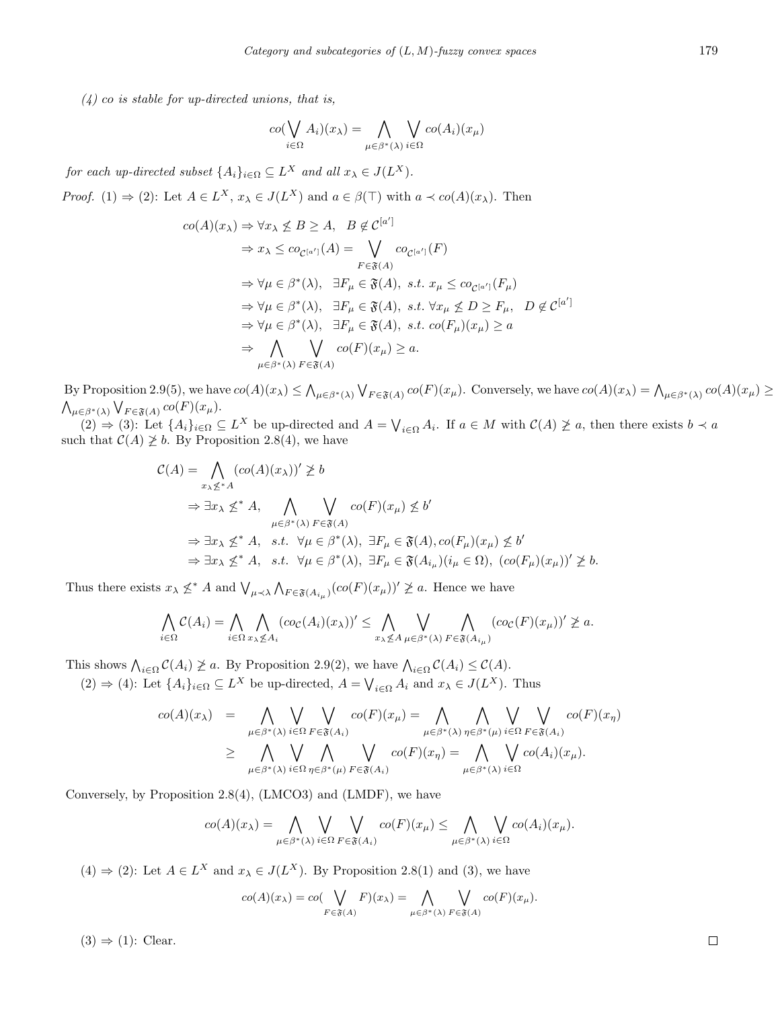*(4) co is stable for up-directed unions, that is,*

$$
co(\bigvee_{i\in\Omega}A_i)(x_\lambda)=\bigwedge_{\mu\in\beta^*(\lambda)}\bigvee_{i\in\Omega}co(A_i)(x_\mu)
$$

*for each up-directed subset*  $\{A_i\}_{i \in \Omega} \subseteq L^X$  *and all*  $x_{\lambda} \in J(L^X)$ *.* 

*Proof.* (1)  $\Rightarrow$  (2): Let  $A \in L^X$ ,  $x_{\lambda} \in J(L^X)$  and  $a \in \beta(\top)$  with  $a \prec co(A)(x_{\lambda})$ . Then

$$
co(A)(x_{\lambda}) \Rightarrow \forall x_{\lambda} \leq B \geq A, \quad B \notin C^{[a']}
$$
  
\n
$$
\Rightarrow x_{\lambda} \leq co_{C^{[a']}}(A) = \bigvee_{F \in \mathfrak{F}(A)} co_{C^{[a']}}(F)
$$
  
\n
$$
\Rightarrow \forall \mu \in \beta^*(\lambda), \quad \exists F_{\mu} \in \mathfrak{F}(A), \quad s.t. \quad x_{\mu} \leq co_{C^{[a']}}(F_{\mu})
$$
  
\n
$$
\Rightarrow \forall \mu \in \beta^*(\lambda), \quad \exists F_{\mu} \in \mathfrak{F}(A), \quad s.t. \quad \forall x_{\mu} \leq D \geq F_{\mu}, \quad D \notin C^{[a']}
$$
  
\n
$$
\Rightarrow \forall \mu \in \beta^*(\lambda), \quad \exists F_{\mu} \in \mathfrak{F}(A), \quad s.t. \quad co(F_{\mu})(x_{\mu}) \geq a
$$
  
\n
$$
\Rightarrow \bigwedge_{\mu \in \beta^*(\lambda)} \bigvee_{F \in \mathfrak{F}(A)} co(F)(x_{\mu}) \geq a.
$$

By Proposition 2.9(5), we have  $co(A)(x_\lambda) \leq \bigwedge_{\mu \in \beta^*(\lambda)} \bigvee_{F \in \mathfrak{F}(A)} co(F)(x_\mu)$ . Conversely, we have  $co(A)(x_\lambda) = \bigwedge_{\mu \in \beta^*(\lambda)} co(A)(x_\mu) \geq$  $\bigwedge_{\mu \in \beta^*(\lambda)} \bigvee_{F \in \mathfrak{F}(A)} co(F)(x_\mu).$ 

 $(2) \Rightarrow (3)$ : Let  $\{A_i\}_{i\in\Omega} \subseteq L^X$  be up-directed and  $A = \bigvee_{i\in\Omega} A_i$ . If  $a \in M$  with  $C(A) \not\geq a$ , then there exists  $b \prec a$ such that  $C(A) \not\geq b$ . By Proposition 2.8(4), we have

$$
\mathcal{C}(A) = \bigwedge_{x_{\lambda} \leq^* A} (co(A)(x_{\lambda}))' \not\geq b
$$
  
\n
$$
\Rightarrow \exists x_{\lambda} \leq^* A, \bigwedge_{\mu \in \beta^*(\lambda)} \bigvee_{F \in \mathfrak{F}(A)} co(F)(x_{\mu}) \not\leq b'
$$
  
\n
$$
\Rightarrow \exists x_{\lambda} \leq^* A, \quad s.t. \quad \forall \mu \in \beta^*(\lambda), \exists F_{\mu} \in \mathfrak{F}(A), co(F_{\mu})(x_{\mu}) \not\leq b'
$$
  
\n
$$
\Rightarrow \exists x_{\lambda} \leq^* A, \quad s.t. \quad \forall \mu \in \beta^*(\lambda), \exists F_{\mu} \in \mathfrak{F}(A_{i_{\mu}})(i_{\mu} \in \Omega), \quad (co(F_{\mu})(x_{\mu}))' \not\geq b.
$$

Thus there exists  $x_{\lambda} \nleq^* A$  and  $\bigvee_{\mu \prec \lambda} \bigwedge_{F \in \mathfrak{F}(A_{i_{\mu}})} (co(F)(x_{\mu}))' \ngeq a$ . Hence we have

$$
\bigwedge_{i\in\Omega}C(A_i) = \bigwedge_{i\in\Omega} \bigwedge_{x_{\lambda}\not\leq A_i} (co_{\mathcal{C}}(A_i)(x_{\lambda}))' \leq \bigwedge_{x_{\lambda}\not\leq A} \bigvee_{\mu\in\beta^*(\lambda)} \bigwedge_{F\in\mathfrak{F}(A_{i_{\mu}})} (co_{\mathcal{C}}(F)(x_{\mu}))' \ngeq a.
$$

This shows  $\bigwedge_{i \in \Omega} C(A_i) \not\geq a$ . By Proposition 2.9(2), we have  $\bigwedge_{i \in \Omega} C(A_i) \leq C(A)$ .

 $(2) \Rightarrow (4)$ : Let  $\{A_i\}_{i \in \Omega} \subseteq L^X$  be up-directed,  $A = \bigvee_{i \in \Omega} A_i$  and  $x_{\lambda} \in J(L^X)$ . Thus

$$
co(A)(x_{\lambda}) = \bigwedge_{\mu \in \beta^*(\lambda)} \bigvee_{i \in \Omega} \bigvee_{F \in \mathfrak{F}(A_i)} co(F)(x_{\mu}) = \bigwedge_{\mu \in \beta^*(\lambda)} \bigwedge_{\eta \in \beta^*(\mu)} \bigvee_{i \in \Omega} \bigvee_{F \in \mathfrak{F}(A_i)} co(F)(x_{\eta})
$$
  
\n
$$
\geq \bigwedge_{\mu \in \beta^*(\lambda)} \bigvee_{i \in \Omega} \bigwedge_{\eta \in \beta^*(\mu)} \bigvee_{F \in \mathfrak{F}(A_i)} co(F)(x_{\eta}) = \bigwedge_{\mu \in \beta^*(\lambda)} \bigvee_{i \in \Omega} co(A_i)(x_{\mu}).
$$

Conversely, by Proposition 2.8(4), (LMCO3) and (LMDF), we have

$$
co(A)(x_{\lambda}) = \bigwedge_{\mu \in \beta^*(\lambda)} \bigvee_{i \in \Omega} \bigvee_{F \in \mathfrak{F}(A_i)} co(F)(x_{\mu}) \leq \bigwedge_{\mu \in \beta^*(\lambda)} \bigvee_{i \in \Omega} co(A_i)(x_{\mu}).
$$

 $(4) \Rightarrow (2)$ : Let  $A \in L^X$  and  $x_{\lambda} \in J(L^X)$ . By Proposition 2.8(1) and (3), we have

$$
co(A)(x_{\lambda}) = co(\bigvee_{F \in \mathfrak{F}(A)} F)(x_{\lambda}) = \bigwedge_{\mu \in \beta^*(\lambda)} \bigvee_{F \in \mathfrak{F}(A)} co(F)(x_{\mu}).
$$

 $(3) \Rightarrow (1)$ : Clear.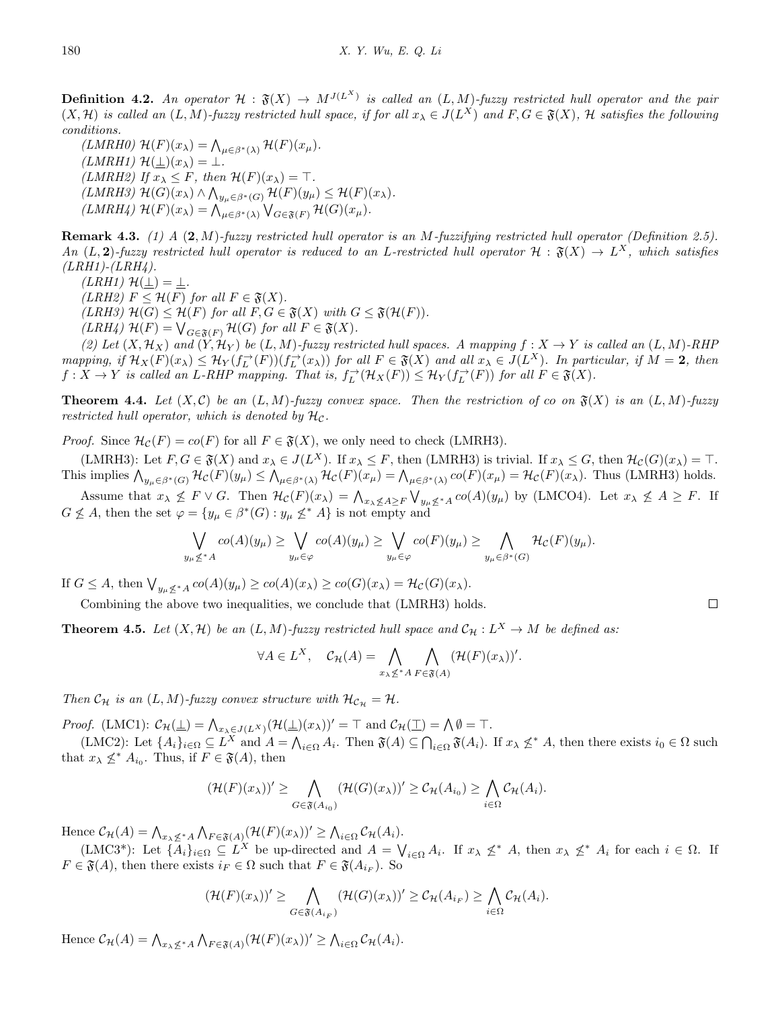**Definition 4.2.** An operator  $\mathcal{H}: \mathfrak{F}(X) \to M^{J(L^X)}$  is called an  $(L, M)$ -fuzzy restricted hull operator and the pair  $(X,\mathcal{H})$  is called an  $(L,M)$ -fuzzy restricted hull space, if for all  $x_{\lambda} \in J(L^{X})$  and  $F, G \in \mathfrak{F}(X)$ , H satisfies the following *conditions.*

 $(LMRH0)$   $\mathcal{H}(F)(x_{\lambda}) = \bigwedge_{\mu \in \beta^*(\lambda)} \mathcal{H}(F)(x_{\mu}).$  $(LMRH1)$   $\mathcal{H}(\underline{\perp})(x_{\lambda}) = \bot$ . *(LMRH2)* If  $x_{\lambda} \leq F$ , then  $\mathcal{H}(F)(x_{\lambda}) = \top$ .  $(LMRH3)$   $\mathcal{H}(G)(x_{\lambda}) \wedge \bigwedge_{y_{\mu} \in \beta^*(G)} \mathcal{H}(F)(y_{\mu}) \leq \mathcal{H}(F)(x_{\lambda})$ .  $(\text{LMRH4}) \mathcal{H}(F)(x_{\lambda}) = \bigwedge_{\mu \in \beta^*(\lambda)}^{\infty} \bigvee_{G \in \mathfrak{F}(F)} \mathcal{H}(G)(x_{\mu}).$ 

**Remark 4.3.** *(1) A* (**2***, M*)*-fuzzy restricted hull operator is an M-fuzzifying restricted hull operator (Definition 2.5). An*  $(L, 2)$ -fuzzy restricted hull operator is reduced to an *L*-restricted hull operator  $\mathcal{H}: \mathfrak{F}(X) \to L^X$ , which satisfies *(LRH1)-(LRH4).*

 $(LRH1)$   $\mathcal{H}(\underline{\perp}) = \underline{\perp}$ . *(LRH2)*  $F \leq \mathcal{H}(F)$  *for all*  $F \in \mathfrak{F}(X)$ *.*  $(LRH3)$   $\mathcal{H}(G) \leq \mathcal{H}(F)$  *for all*  $F, G \in \mathfrak{F}(X)$  *with*  $G \leq \mathfrak{F}(\mathcal{H}(F))$ *.*  $(LRH)$   $\mathcal{H}(F) = \bigvee_{G \in \mathfrak{F}(F)} \mathcal{H}(G)$  *for all*  $F \in \mathfrak{F}(X)$ *.* 

(2) Let  $(X, \mathcal{H}_X)$  and  $(Y, \mathcal{H}_Y)$  be  $(L, M)$ -fuzzy restricted hull spaces. A mapping  $f : X \to Y$  is called an  $(L, M)$ -RHP mapping, if  $\mathcal{H}_X(F)(x_\lambda) \leq \mathcal{H}_Y(f_L^{\to}(F))(f_L^{\to}(x_\lambda))$  for all  $F \in \mathfrak{F}(X)$  and all  $x_\lambda \in J(L^X)$ . In particular, if  $M = 2$ , then  $f: X \to Y$  is called an L-RHP mapping. That is,  $f_L^{\to}(\mathcal{H}_X(F)) \leq \mathcal{H}_Y(f_L^{\to}(F))$  for all  $F \in \mathfrak{F}(X)$ .

**Theorem 4.4.** Let  $(X, \mathcal{C})$  be an  $(L, M)$ -fuzzy convex space. Then the restriction of  $\infty$  on  $\mathfrak{F}(X)$  is an  $(L, M)$ -fuzzy *restricted hull operator, which is denoted by*  $\mathcal{H}_c$ *.* 

*Proof.* Since  $\mathcal{H}_{\mathcal{C}}(F) = co(F)$  for all  $F \in \mathfrak{F}(X)$ , we only need to check (LMRH3).

(LMRH3): Let  $F, G \in \mathfrak{F}(X)$  and  $x_{\lambda} \in J(L^X)$ . If  $x_{\lambda} \leq F$ , then (LMRH3) is trivial. If  $x_{\lambda} \leq G$ , then  $\mathcal{H}_{\mathcal{C}}(G)(x_{\lambda}) = \top$ . This implies  $\bigwedge_{y_\mu \in \beta^*(G)} \mathcal{H}_\mathcal{C}(F)(y_\mu) \leq \bigwedge_{\mu \in \beta^*(\lambda)} \mathcal{H}_\mathcal{C}(F)(x_\mu) = \bigwedge_{\mu \in \beta^*(\lambda)} co(F)(x_\mu) = \mathcal{H}_\mathcal{C}(F)(x_\lambda)$ . Thus (LMRH3) holds.

Assume that  $x_{\lambda} \nleq F \vee G$ . Then  $\mathcal{H}_{\mathcal{C}}(F)(x_{\lambda}) = \bigwedge_{x_{\lambda} \nleq A \geq F} \bigvee_{y_{\mu} \nleq^* A} co(A)(y_{\mu})$  by (LMCO4). Let  $x_{\lambda} \nleq A \geq F$ . If  $G \nleq A$ , then the set  $\varphi = {\{y_\mu \in \beta^*(G) : y_\mu \not\leq^* A\}}$  is not empty and

$$
\bigvee_{y_{\mu}\nleq^* A} co(A)(y_{\mu}) \geq \bigvee_{y_{\mu}\in\varphi} co(A)(y_{\mu}) \geq \bigvee_{y_{\mu}\in\varphi} co(F)(y_{\mu}) \geq \bigwedge_{y_{\mu}\in\beta^*(G)} \mathcal{H}_{\mathcal{C}}(F)(y_{\mu}).
$$

If  $G \leq A$ , then  $\bigvee_{y_{\mu} \not\leq^* A} co(A)(y_{\mu}) \geq co(A)(x_{\lambda}) \geq co(G)(x_{\lambda}) = \mathcal{H}_{\mathcal{C}}(G)(x_{\lambda}).$ 

Combining the above two inequalities, we conclude that (LMRH3) holds.

**Theorem 4.5.** *Let*  $(X, \mathcal{H})$  *be an*  $(L, M)$ *-fuzzy restricted hull space and*  $\mathcal{C}_{\mathcal{H}} : L^X \to M$  *be defined as:* 

$$
\forall A \in L^{X}, \quad \mathcal{C}_{\mathcal{H}}(A) = \bigwedge_{x_{\lambda} \leq^* A} \bigwedge_{F \in \mathfrak{F}(A)} (\mathcal{H}(F)(x_{\lambda}))'.
$$

*Then*  $C_H$  *is an*  $(L, M)$ *-fuzzy convex structure with*  $H_{C_H} = H$ *.* 

*Proof.* (LMC1):  $C_{\mathcal{H}}(\bot) = \bigwedge_{x_{\lambda} \in J(L^X)} (\mathcal{H}(\bot)(x_{\lambda}))' = \top$  and  $C_{\mathcal{H}}(\top) = \bigwedge \emptyset = \top$ .

(LMC2): Let  $\{A_i\}_{i\in\Omega} \subseteq L^X$  and  $A = \bigwedge_{i\in\Omega} A_i$ . Then  $\mathfrak{F}(A) \subseteq \bigcap_{i\in\Omega} \mathfrak{F}(A_i)$ . If  $x_\lambda \nleq^* A$ , then there exists  $i_0 \in \Omega$  such that  $x_{\lambda} \nleq^* A_{i_0}$ . Thus, if  $F \in \mathfrak{F}(A)$ , then

$$
(\mathcal{H}(F)(x_{\lambda}))' \geq \bigwedge_{G \in \mathfrak{F}(A_{i_0})} (\mathcal{H}(G)(x_{\lambda}))' \geq \mathcal{C}_{\mathcal{H}}(A_{i_0}) \geq \bigwedge_{i \in \Omega} \mathcal{C}_{\mathcal{H}}(A_i).
$$

Hence  $\mathcal{C}_{\mathcal{H}}(A) = \bigwedge_{x_{\lambda} \leq x_{\lambda}} A \bigwedge_{F \in \mathfrak{F}(A)} (\mathcal{H}(F)(x_{\lambda}))' \geq \bigwedge_{i \in \Omega} \mathcal{C}_{\mathcal{H}}(A_i).$ 

(LMC3<sup>\*</sup>): Let  $\{\overline{A}_i\}_{i\in\Omega} \subseteq L^X$  be up-directed and  $A = \bigvee_{i\in\Omega} A_i$ . If  $x_\lambda \not\leq^* A$ , then  $x_\lambda \not\leq^* A_i$  for each  $i \in \Omega$ . If  $F \in \mathfrak{F}(A)$ , then there exists  $i_F \in \Omega$  such that  $F \in \mathfrak{F}(A_{i_F})$ . So

$$
(\mathcal{H}(F)(x_{\lambda}))' \geq \bigwedge_{G \in \mathfrak{F}(A_{i_F})} (\mathcal{H}(G)(x_{\lambda}))' \geq \mathcal{C}_{\mathcal{H}}(A_{i_F}) \geq \bigwedge_{i \in \Omega} \mathcal{C}_{\mathcal{H}}(A_i).
$$

Hence  $\mathcal{C}_{\mathcal{H}}(A) = \bigwedge_{x_{\lambda} \leq x_{\lambda}} A \bigwedge_{F \in \mathfrak{F}(A)} (\mathcal{H}(F)(x_{\lambda}))' \geq \bigwedge_{i \in \Omega} \mathcal{C}_{\mathcal{H}}(A_i).$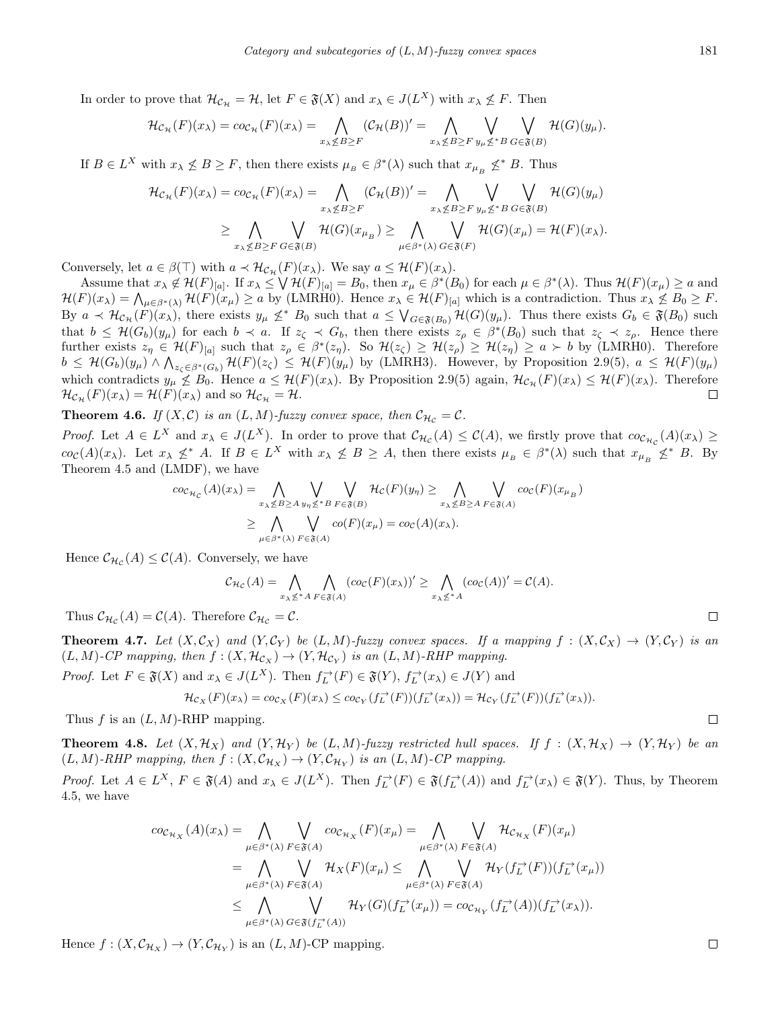In order to prove that  $\mathcal{H}_{\mathcal{C}_{\mathcal{H}}} = \mathcal{H}$ , let  $F \in \mathfrak{F}(X)$  and  $x_{\lambda} \in J(L^X)$  with  $x_{\lambda} \not\leq F$ . Then

$$
\mathcal{H}_{\mathcal{C}_{\mathcal{H}}}(F)(x_{\lambda}) = co_{\mathcal{C}_{\mathcal{H}}}(F)(x_{\lambda}) = \bigwedge_{x_{\lambda} \not\leq B \geq F} (\mathcal{C}_{\mathcal{H}}(B))' = \bigwedge_{x_{\lambda} \not\leq B \geq F} \bigvee_{y_{\mu} \not\leq^* B} \bigvee_{G \in \mathfrak{F}(B)} \mathcal{H}(G)(y_{\mu}).
$$

If  $B \in L^X$  with  $x_\lambda \not\leq B \geq F$ , then there exists  $\mu_B \in \beta^*(\lambda)$  such that  $x_{\mu_B} \nleq^* B$ . Thus

$$
\mathcal{H}_{\mathcal{C}_{\mathcal{H}}}(F)(x_{\lambda}) = co_{\mathcal{C}_{\mathcal{H}}}(F)(x_{\lambda}) = \bigwedge_{x_{\lambda} \not\leq B \geq F} (\mathcal{C}_{\mathcal{H}}(B))' = \bigwedge_{x_{\lambda} \not\leq B \geq F} \bigvee_{y_{\mu} \not\leq^* B} \bigvee_{G \in \mathfrak{F}(B)} \mathcal{H}(G)(y_{\mu})
$$
\n
$$
\geq \bigwedge_{x_{\lambda} \not\leq B \geq F} \bigvee_{G \in \mathfrak{F}(B)} \mathcal{H}(G)(x_{\mu_B}) \geq \bigwedge_{\mu \in \beta^*(\lambda)} \bigvee_{G \in \mathfrak{F}(F)} \mathcal{H}(G)(x_{\mu}) = \mathcal{H}(F)(x_{\lambda}).
$$

Conversely, let  $a \in \beta(\top)$  with  $a \prec \mathcal{H}_{\mathcal{C}_{\mathcal{H}}}(F)(x_{\lambda})$ . We say  $a \leq \mathcal{H}(F)(x_{\lambda})$ .

Assume that  $x_{\lambda} \notin \mathcal{H}(F)_{[a]}$ . If  $x_{\lambda} \leq \bigvee \mathcal{H}(F)_{[a]} = B_0$ , then  $x_{\mu} \in \beta^*(B_0)$  for each  $\mu \in \beta^*(\lambda)$ . Thus  $\mathcal{H}(F)(x_{\mu}) \geq a$  and  $\mathcal{H}(F)(x_{\lambda}) = \bigwedge_{\mu \in \beta^*(\lambda)} \mathcal{H}(F)(x_{\mu}) \ge a$  by (LMRH0). Hence  $x_{\lambda} \in \mathcal{H}(F)_{[a]}$  which is a contradiction. Thus  $x_{\lambda} \nleq B_0 \ge F$ . By  $a \prec \mathcal{H}_{\mathcal{C}_{\mathcal{H}}}(F)(x_{\lambda})$ , there exists  $y_{\mu} \not\leq^* B_0$  such that  $a \leq \bigvee_{G \in \mathfrak{F}(B_0)} \mathcal{H}(G)(y_{\mu})$ . Thus there exists  $G_b \in \mathfrak{F}(B_0)$  such that  $b \leq \mathcal{H}(G_b)(y_\mu)$  for each  $b \prec a$ . If  $z_\zeta \prec G_b$ , then there exists  $z_\rho \in \beta^*(B_0)$  such that  $z_\zeta \prec z_\rho$ . Hence there further exists  $z_{\eta} \in \mathcal{H}(F)_{[a]}$  such that  $z_{\rho} \in \beta^*(z_{\eta})$ . So  $\mathcal{H}(z_{\zeta}) \geq \mathcal{H}(z_{\rho}) \geq \mathcal{H}(z_{\eta}) \geq a > b$  by (LMRH0). Therefore  $b \leq \mathcal{H}(G_b)(y_\mu) \wedge \bigwedge_{z_\zeta \in \beta^*(G_b)} \mathcal{H}(F)(z_\zeta) \leq \mathcal{H}(F)(y_\mu)$  by (LMRH3). However, by Proposition 2.9(5),  $a \leq \mathcal{H}(F)(y_\mu)$ which contradicts  $y_{\mu} \nleq B_0$ . Hence  $a \leq \mathcal{H}(F)(x_{\lambda})$ . By Proposition 2.9(5) again,  $\mathcal{H}_{\mathcal{C}_{\mathcal{H}}}(F)(x_{\lambda}) \leq \mathcal{H}(F)(x_{\lambda})$ . Therefore  $\mathcal{H}_{\mathcal{C}_{\mathcal{H}}}(F)(x_{\lambda}) = \mathcal{H}(F)(x_{\lambda})$  and so  $\mathcal{H}_{\mathcal{C}_{\mathcal{H}}} = \mathcal{H$  $\mathcal{H}_{\mathcal{C}_{\mathcal{H}}}(F)(x_{\lambda}) = \mathcal{H}(F)(x_{\lambda})$  and so  $\mathcal{H}_{\mathcal{C}_{\mathcal{H}}} = \mathcal{H}$ .

**Theorem 4.6.** *If*  $(X, \mathcal{C})$  *is an*  $(L, M)$ *-fuzzy convex space, then*  $\mathcal{C}_{\mathcal{H}_{\mathcal{C}}} = \mathcal{C}$ *.* 

*Proof.* Let  $A \in L^X$  and  $x_\lambda \in J(L^X)$ . In order to prove that  $\mathcal{C}_{\mathcal{H}_{\mathcal{C}}}(A) \leq \mathcal{C}(A)$ , we firstly prove that  $\operatorname{co}_{\mathcal{C}_{\mathcal{H}_{\mathcal{C}}}}(A)(x_\lambda) \geq$  $co_{\mathcal{C}}(A)(x_{\lambda})$ . Let  $x_{\lambda} \nleq^* A$ . If  $B \in L^X$  with  $x_{\lambda} \nleq B \geq A$ , then there exists  $\mu_B \in \beta^*(\lambda)$  such that  $x_{\mu_B} \nleq^* B$ . By Theorem 4.5 and (LMDF), we have

$$
co_{\mathcal{C}_{\mathcal{H}_{\mathcal{C}}}}(A)(x_{\lambda}) = \bigwedge_{x_{\lambda} \not\leq B \geq A} \bigvee_{y_{\eta} \not\leq^* B} \bigvee_{F \in \mathfrak{F}(B)} \mathcal{H}_{\mathcal{C}}(F)(y_{\eta}) \geq \bigwedge_{x_{\lambda} \not\leq B \geq A} \bigvee_{F \in \mathfrak{F}(A)} co_{\mathcal{C}}(F)(x_{\mu_B})
$$
  
 
$$
\geq \bigwedge_{\mu \in \beta^*(\lambda)} \bigvee_{F \in \mathfrak{F}(A)} co(F)(x_{\mu}) = co_{\mathcal{C}}(A)(x_{\lambda}).
$$

Hence  $C_{\mathcal{H}_{\mathcal{C}}}(A) \leq \mathcal{C}(A)$ . Conversely, we have

$$
\mathcal{C}_{\mathcal{H}_{\mathcal{C}}}(A) = \bigwedge_{x_{\lambda} \leq^* A} \bigwedge_{F \in \mathfrak{F}(A)} (co_{\mathcal{C}}(F)(x_{\lambda}))' \geq \bigwedge_{x_{\lambda} \leq^* A} (co_{\mathcal{C}}(A))' = \mathcal{C}(A).
$$

Thus  $C_{\mathcal{H}_{\mathcal{C}}}(A) = \mathcal{C}(A)$ . Therefore  $C_{\mathcal{H}_{\mathcal{C}}} = \mathcal{C}$ .

**Theorem 4.7.** Let  $(X, \mathcal{C}_X)$  and  $(Y, \mathcal{C}_Y)$  be  $(L, M)$ -fuzzy convex spaces. If a mapping  $f : (X, \mathcal{C}_X) \to (Y, \mathcal{C}_Y)$  is an  $(L, M)$ -CP mapping, then  $f : (X, \mathcal{H}_{c_X}) \to (Y, \mathcal{H}_{c_Y})$  is an  $(L, M)$ -RHP mapping.

*Proof.* Let  $F \in \mathfrak{F}(X)$  and  $x_{\lambda} \in J(L^X)$ . Then  $f_L^{\rightarrow}(F) \in \mathfrak{F}(Y)$ ,  $f_L^{\rightarrow}(x_{\lambda}) \in J(Y)$  and

$$
\mathcal{H}_{\mathcal{C}_X}(F)(x_\lambda) = \operatorname{co}_{\mathcal{C}_X}(F)(x_\lambda) \le \operatorname{co}_{\mathcal{C}_Y}(f_L^\rightarrow(F))(f_L^\rightarrow(x_\lambda)) = \mathcal{H}_{\mathcal{C}_Y}(f_L^\rightarrow(F))(f_L^\rightarrow(x_\lambda)).
$$

Thus  $f$  is an  $(L, M)$ -RHP mapping.

**Theorem 4.8.** Let  $(X, \mathcal{H}_X)$  and  $(Y, \mathcal{H}_Y)$  be  $(L, M)$ -fuzzy restricted hull spaces. If  $f : (X, \mathcal{H}_X) \to (Y, \mathcal{H}_Y)$  be an  $(L, M)$ -RHP mapping, then  $f : (X, C_{\mathcal{H}_X}) \to (Y, C_{\mathcal{H}_Y})$  is an  $(L, M)$ -CP mapping.

*Proof.* Let  $A \in L^X$ ,  $F \in \mathfrak{F}(A)$  and  $x_\lambda \in J(L^X)$ . Then  $f_L^{\to}(F) \in \mathfrak{F}(f_L^{\to}(A))$  and  $f_L^{\to}(x_\lambda) \in \mathfrak{F}(Y)$ . Thus, by Theorem 4.5, we have

$$
co_{\mathcal{C}_{\mathcal{H}_X}}(A)(x_{\lambda}) = \bigwedge_{\mu \in \beta^*(\lambda)} \bigvee_{F \in \mathfrak{F}(A)} co_{\mathcal{C}_{\mathcal{H}_X}}(F)(x_{\mu}) = \bigwedge_{\mu \in \beta^*(\lambda)} \bigvee_{F \in \mathfrak{F}(A)} \mathcal{H}_{\mathcal{C}_{\mathcal{H}_X}}(F)(x_{\mu})
$$
  
\n
$$
= \bigwedge_{\mu \in \beta^*(\lambda)} \bigvee_{F \in \mathfrak{F}(A)} \mathcal{H}_X(F)(x_{\mu}) \le \bigwedge_{\mu \in \beta^*(\lambda)} \bigvee_{F \in \mathfrak{F}(A)} \mathcal{H}_Y(f_L^{\rightarrow}(F))(f_L^{\rightarrow}(x_{\mu}))
$$
  
\n
$$
\le \bigwedge_{\mu \in \beta^*(\lambda)} \bigvee_{G \in \mathfrak{F}(f_L^{\rightarrow}(A))} \mathcal{H}_Y(G)(f_L^{\rightarrow}(x_{\mu})) = co_{\mathcal{C}_{\mathcal{H}_Y}}(f_L^{\rightarrow}(A))(f_L^{\rightarrow}(x_{\lambda})).
$$

Hence  $f : (X, \mathcal{C}_{\mathcal{H}_X}) \to (Y, \mathcal{C}_{\mathcal{H}_Y})$  is an  $(L, M)$ -CP mapping.

 $\Box$ 

 $\Box$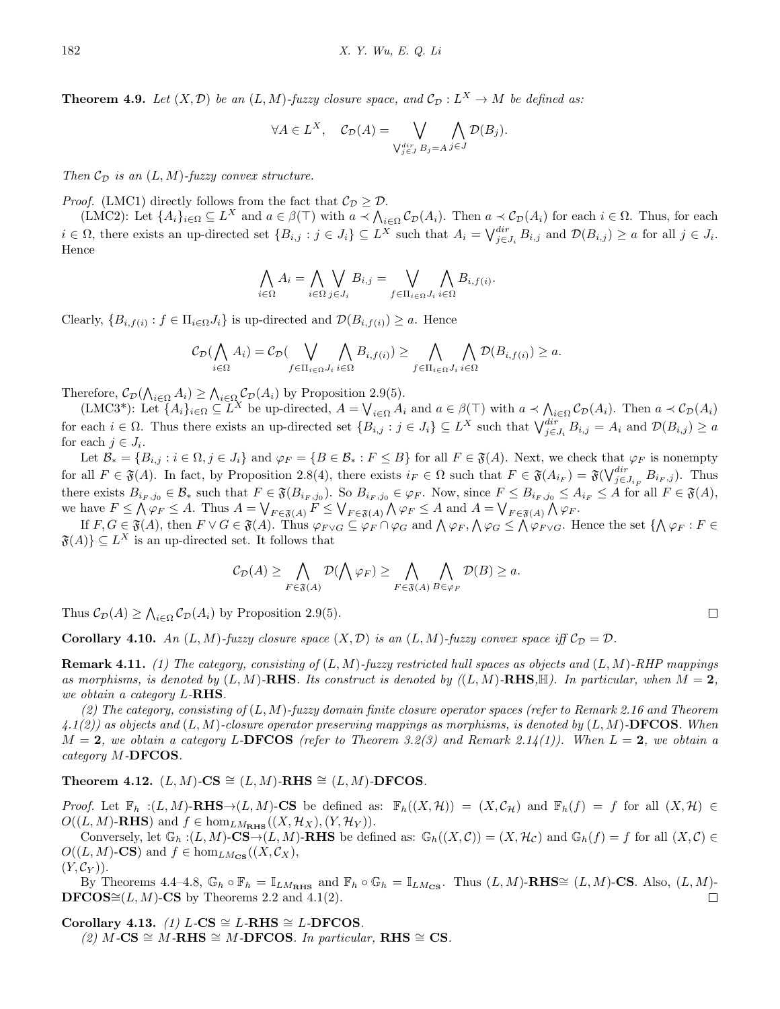**Theorem 4.9.** *Let*  $(X, \mathcal{D})$  *be an*  $(L, M)$ *-fuzzy closure space, and*  $\mathcal{C}_{\mathcal{D}} : L^X \to M$  *be defined as:* 

$$
\forall A \in L^X, \quad C_{\mathcal{D}}(A) = \bigvee_{\bigvee_{j \in J} B_j = A} \bigwedge_{j \in J} \mathcal{D}(B_j).
$$

*Then*  $\mathcal{C}_{\mathcal{D}}$  *is an*  $(L, M)$ *-fuzzy convex structure.* 

*Proof.* (LMC1) directly follows from the fact that  $C_{\mathcal{D}} \geq \mathcal{D}$ .

(LMC2): Let  $\{A_i\}_{i\in\Omega} \subseteq L^X$  and  $a \in \beta(\top)$  with  $a \prec \bigwedge_{i\in\Omega} C_{\mathcal{D}}(A_i)$ . Then  $a \prec C_{\mathcal{D}}(A_i)$  for each  $i \in \Omega$ . Thus, for each  $i \in \Omega$ , there exists an up-directed set  $\{B_{i,j} : j \in J_i\} \subseteq L^X$  such that  $A_i = \bigvee_{j \in J_i}^{dir} B_{i,j}$  and  $\mathcal{D}(B_{i,j}) \geq a$  for all  $j \in J_i$ . Hence

$$
\bigwedge_{i \in \Omega} A_i = \bigwedge_{i \in \Omega} \bigvee_{j \in J_i} B_{i,j} = \bigvee_{f \in \Pi_{i \in \Omega} J_i} \bigwedge_{i \in \Omega} B_{i,f(i)}.
$$

Clearly,  ${B_{i,f(i)} : f \in \Pi_{i \in \Omega} J_i}$  is up-directed and  $\mathcal{D}(B_{i,f(i)}) \geq a$ . Hence

$$
\mathcal{C}_{\mathcal{D}}(\bigwedge_{i\in \Omega}A_i)=\mathcal{C}_{\mathcal{D}}(\bigvee_{f\in \Pi_{i\in \Omega}J_i}\bigwedge_{i\in \Omega}B_{i,f(i)})\geq \bigwedge_{f\in \Pi_{i\in \Omega}J_i}\bigwedge_{i\in \Omega}\mathcal{D}(B_{i,f(i)})\geq a.
$$

Therefore,  $\mathcal{C}_{\mathcal{D}}(\bigwedge_{i \in \Omega} A_i) \geq \bigwedge_{i \in \Omega} \mathcal{C}_{\mathcal{D}}(A_i)$  by Proposition 2.9(5).

(LMC3<sup>\*</sup>): Let  $\{A_i\}_{i\in\Omega} \subseteq L^X$  be up-directed,  $A = \bigvee_{i\in\Omega} A_i$  and  $a \in \beta(\top)$  with  $a \prec \bigwedge_{i\in\Omega} C_{\mathcal{D}}(A_i)$ . Then  $a \prec C_{\mathcal{D}}(A_i)$ for each  $i \in \Omega$ . Thus there exists an up-directed set  $\{B_{i,j} : j \in J_i\} \subseteq L^X$  such that  $\bigvee_{j \in J_i}^{dir} B_{i,j} = A_i$  and  $\mathcal{D}(B_{i,j}) \ge a$ for each  $j \in J_i$ .

Let  $\mathcal{B}_* = \{B_{i,j} : i \in \Omega, j \in J_i\}$  and  $\varphi_F = \{B \in \mathcal{B}_* : F \leq B\}$  for all  $F \in \mathfrak{F}(A)$ . Next, we check that  $\varphi_F$  is nonempty for all  $F \in \mathfrak{F}(A)$ . In fact, by Proposition 2.8(4), there exists  $i_F \in \Omega$  such that  $F \in \mathfrak{F}(A_{i_F}) = \mathfrak{F}(\bigvee_{j \in J_{i_F}}^{dir} B_{i_F,j})$ . Thus there exists  $B_{i_F,j_0} \in \mathcal{B}_{*}$  such that  $F \in \mathfrak{F}(B_{i_F,j_0})$ . So  $B_{i_F,j_0} \in \varphi_F$ . Now, since  $F \leq B_{i_F,j_0} \leq A_{i_F} \leq A$  for all  $F \in \mathfrak{F}(A)$ , we have  $F \leq \bigwedge_{P} \varphi_F \leq A$ . Thus  $A = \bigvee_{F \in \mathfrak{F}(A)} F \leq \bigvee_{F \in \mathfrak{F}(A)} \bigwedge_{P} \varphi_F \leq A$  and  $A = \bigvee_{F \in \mathfrak{F}(A)} \bigwedge_{P} \varphi_F$ .

If  $F, G \in \mathfrak{F}(A)$ , then  $F \vee G \in \mathfrak{F}(A)$ . Thus  $\varphi_{F \vee G} \subseteq \varphi_F \cap \varphi_G$  and  $\bigwedge \varphi_F, \bigwedge \varphi_G \leq \bigwedge^{\infty} \varphi_{F \vee G}$ . Hence the set  $\{\bigwedge \varphi_F : F \in$  $\mathfrak{F}(A)$   $\subseteq$  *L*<sup>X</sup> is an up-directed set. It follows that

$$
\mathcal{C}_{\mathcal{D}}(A) \geq \bigwedge_{F \in \mathfrak{F}(A)} \mathcal{D}(\bigwedge \varphi_F) \geq \bigwedge_{F \in \mathfrak{F}(A)} \bigwedge_{B \in \varphi_F} \mathcal{D}(B) \geq a.
$$

Thus  $C_{\mathcal{D}}(A) \ge \bigwedge_{i \in \Omega} C_{\mathcal{D}}(A_i)$  by Proposition 2.9(5).

**Corollary 4.10.** An  $(L, M)$ *-fuzzy closure space*  $(X, D)$  *is an*  $(L, M)$ *-fuzzy convex space iff*  $C_{\mathcal{D}} = \mathcal{D}$ *.* 

**Remark 4.11.** *(1) The category, consisting of* (*L, M*)*-fuzzy restricted hull spaces as objects and* (*L, M*)*-RHP mappings* as morphisms, is denoted by  $(L, M)$ -RHS. Its construct is denoted by  $((L, M)$ -RHS, $\mathbb{H})$ . In particular, when  $M = 2$ , *we obtain a category L-***RHS***.*

*(2) The category, consisting of* (*L, M*)*-fuzzy domain finite closure operator spaces (refer to Remark 2.16 and Theorem 4.1(2)) as objects and* (*L, M*)*-closure operator preserving mappings as morphisms, is denoted by* (*L, M*)*-***DFCOS***. When*  $M = 2$ *, we obtain a category L*-**DFCOS** (refer to Theorem 3.2(3) and Remark 2.14(1)). When  $L = 2$ *, we obtain a category M-***DFCOS***.*

**Theorem 4.12.**  $(L, M)$ **-CS**  $\cong$   $(L, M)$ **-RHS**  $\cong$   $(L, M)$ **-DFCOS***.* 

*Proof.* Let  $\mathbb{F}_h$  : $(L,M)$ -RHS $\rightarrow$  $(L,M)$ -CS be defined as:  $\mathbb{F}_h((X,\mathcal{H})) = (X,\mathcal{C}_\mathcal{H})$  and  $\mathbb{F}_h(f) = f$  for all  $(X,\mathcal{H}) \in$  $O((L, M) \cdot \textbf{RHS})$  and  $f \in \text{hom}_{LM_{\textbf{RHS}}}((X, \mathcal{H}_X), (Y, \mathcal{H}_Y)).$ 

Conversely, let  $\mathbb{G}_h:(L,M)\text{-CS}\rightarrow(L,M)\text{-RHS}$  be defined as:  $\mathbb{G}_h((X,\mathcal{C}))=(X,\mathcal{H}_{\mathcal{C}})$  and  $\mathbb{G}_h(f)=f$  for all  $(X,\mathcal{C})\in$  $O((L, M) \cdot \mathbf{CS})$  and  $f \in \text{hom}_{LM_{\mathbf{CS}}}((X, \mathcal{C}_X),$  $(Y, \mathcal{C}_Y)$ .

By Theorems 4.4–4.8,  $\mathbb{G}_h \circ \mathbb{F}_h = \mathbb{I}_{LM_{\text{RHS}}}$  and  $\mathbb{F}_h \circ \mathbb{G}_h = \mathbb{I}_{LM_{\text{CS}}}$ . Thus  $(L, M)$ -RHS $\cong (L, M)$ -CS. Also,  $(L, M)$ -**DFCOS**≅ $(L, M)$ -**CS** by Theorems 2.2 and 4.1(2). П

Corollary 4.13. *(1) L*−CS  $\cong$  *L*−RHS  $\cong$  *L*−DFCOS.

*(2) M***-CS**  $\cong$  *M***-RHS**  $\cong$  *M***-DFCOS***. In particular,* **RHS**  $\cong$  **CS***.*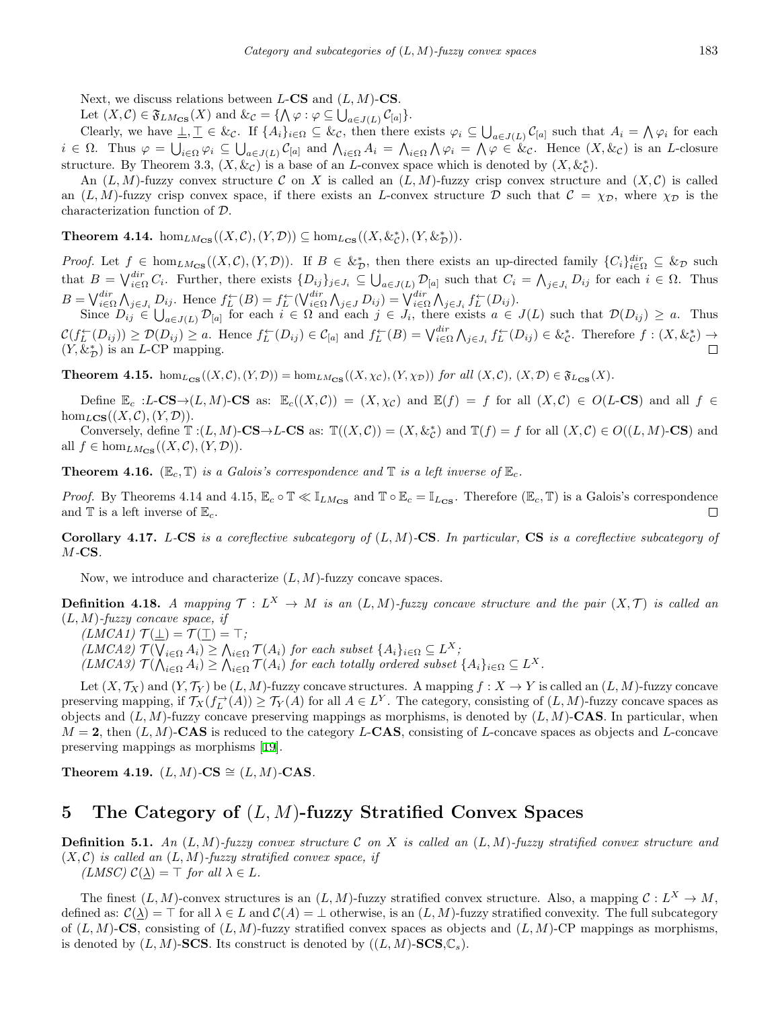Next, we discuss relations between *L*-**CS** and (*L, M*)-**CS**.

Let  $(X, \mathcal{C}) \in \mathfrak{F}_{LM_{\mathbf{CS}}}(X)$  and  $\&\mathcal{C} = \{\bigwedge \varphi : \varphi \subseteq \bigcup_{a \in J(L)} \mathcal{C}_{[a]}\}.$ 

Clearly, we have  $\underline{\bot}, \underline{\top} \in \&c$ . If  $\{A_i\}_{i \in \Omega} \subseteq \&c$ , then there exists  $\varphi_i \subseteq \bigcup_{a \in J(L)} C_{[a]}$  such that  $A_i = \bigwedge \varphi_i$  for each  $i \in \Omega$ . Thus  $\varphi = \bigcup_{i \in \Omega} \varphi_i \subseteq \bigcup_{a \in J(L)} C_{[a]}$  and  $\bigwedge_{i \in \Omega} A_i = \bigwedge_{i \in \Omega} \bigwedge \varphi_i = \bigwedge \varphi \in \mathscr{L}_c$ . Hence  $(X, \&c)$  is an *L*-closure structure. By Theorem 3.3,  $(X, \&c)$  is a base of an *L*-convex space which is denoted by  $(X, \&c^*_{\mathcal{C}})$ .

An  $(L, M)$ -fuzzy convex structure C on X is called an  $(L, M)$ -fuzzy crisp convex structure and  $(X, C)$  is called an  $(L, M)$ -fuzzy crisp convex space, if there exists an *L*-convex structure  $D$  such that  $C = \chi_D$ , where  $\chi_D$  is the characterization function of *D*.

**Theorem 4.14.** hom<sub>*LM***CS</sub>** $((X, \mathcal{C}), (Y, \mathcal{D})) \subseteq \text{hom}_{L_{\text{CS}}}((X, \&_{\mathcal{C}}^*), (Y, \&_{\mathcal{D}}^*)).$ **</sub>** 

*Proof.* Let  $f \in \text{hom}_{LM_{CS}}((X,\mathcal{C}), (Y,\mathcal{D}))$ . If  $B \in \mathcal{K}_{\mathcal{D}}^*$ , then there exists an up-directed family  $\{C_i\}_{i\in\Omega}^{dir} \subseteq \mathcal{K}_{\mathcal{D}}$  such that  $B = \bigvee_{i \in \Omega}^{dir} C_i$ . Further, there exists  $\{D_{ij}\}_{j \in J_i} \subseteq \bigcup_{a \in J(L)} \mathcal{D}_{[a]}$  such that  $C_i = \bigwedge_{j \in J_i} D_{ij}$  for each  $i \in \Omega$ . Thus  $B=\bigvee_{i\in\Omega}^{dir}\bigwedge_{j\in J_i}D_{ij}.$  Hence  $f_L^{\leftarrow}(B)=f_L^{\leftarrow}(\bigvee_{i\in\Omega}^{dir}\bigwedge_{j\in J}D_{ij})=\bigvee_{i\in\Omega}^{dir}\bigwedge_{j\in J_i}f_L^{\leftarrow}(D_{ij}).$ 

Since  $D_{ij} \in \bigcup_{a \in J(L)} \mathcal{D}_{[a]}$  for each  $i \in \Omega$  and each  $j \in J_i$ , there exists  $a \in J(L)$  such that  $\mathcal{D}(D_{ij}) \geq a$ . Thus  $\mathcal{C}(f_L^{\leftarrow}(D_{ij})) \geq \mathcal{D}(D_{ij}) \geq a$ . Hence  $f_L^{\leftarrow}(D_{ij}) \in \mathcal{C}_{[a]}$  and  $f_L^{\leftarrow}(B) = \bigvee_{i \in \Omega}^{dir} \bigwedge_{j \in J_i} f_L^{\leftarrow}(D_{ij}) \in \mathcal{K}_\mathcal{C}^*$ . Therefore  $f : (X, \mathcal{K}_\mathcal{C}^*) \to$  $(Y, \&_{\mathcal{D}}^*)$  is an *L*-CP mapping.  $\Box$ 

**Theorem 4.15.** hom<sub>LCS</sub>( $(X, C)$ ,  $(Y, D)$ ) = hom<sub>LMCS</sub>( $(X, \chi_C)$ ,  $(Y, \chi_D)$ ) for all  $(X, C)$ ,  $(X, D) \in \mathfrak{F}_{L_{CS}}(X)$ .

Define  $\mathbb{E}_c : L\text{-CS} \to (L, M)\text{-CS}$  as:  $\mathbb{E}_c((X, \mathcal{C})) = (X, \chi_{\mathcal{C}})$  and  $\mathbb{E}(f) = f$  for all  $(X, \mathcal{C}) \in O(L\text{-CS})$  and all  $f \in$  $hom_{L\textbf{CS}}((X, \mathcal{C}), (Y, \mathcal{D})).$ 

Conversely, define  $\mathbb{T}:(L,M)\text{-CS}\to L\text{-CS}$  as:  $\mathbb{T}((X,\mathcal{C}))=(X,\&\mathcal{C})$  and  $\mathbb{T}(f)=f$  for all  $(X,\mathcal{C})\in O((L,M)\text{-CS})$  and all  $f \in \text{hom}_{LM_{\text{CS}}}((X, \mathcal{C}), (Y, \mathcal{D})).$ 

**Theorem 4.16.** ( $\mathbb{E}_c$ ,  $\mathbb{T}$ ) *is a Galois's correspondence and*  $\mathbb{T}$  *is a left inverse of*  $\mathbb{E}_c$ *.* 

*Proof.* By Theorems 4.14 and 4.15,  $\mathbb{E}_c \circ \mathbb{T} \ll \mathbb{I}_{LM_{\text{CS}}}$  and  $\mathbb{T} \circ \mathbb{E}_c = \mathbb{I}_{L_{\text{CS}}}$ . Therefore  $(\mathbb{E}_c, \mathbb{T})$  is a Galois's correspondence and  $\mathbb T$  is a left inverse of  $\mathbb E_c$ .  $\Box$ 

**Corollary 4.17.** *L-***CS** *is a coreflective subcategory of* (*L, M*)*-***CS***. In particular,* **CS** *is a coreflective subcategory of M-***CS***.*

Now, we introduce and characterize (*L, M*)-fuzzy concave spaces.

**Definition 4.18.** *A mapping*  $\mathcal{T}: L^X \to M$  *is an*  $(L, M)$ *-fuzzy concave structure and the pair*  $(X, \mathcal{T})$  *is called an* (*L, M*)*-fuzzy concave space, if*

 $\mathcal{T}(LMCA1) \mathcal{T}(\perp) = \mathcal{T}(\perp) = \top;$ 

 $(LMCA2) \mathcal{T}(\bigvee_{i\in\Omega} A_i) \geq \bigwedge_{i\in\Omega} \mathcal{T}(A_i)$  for each subset  $\{A_i\}_{i\in\Omega} \subseteq L^X$ ;

 $(LMCA3) \mathcal{T}(\bigwedge_{i\in\Omega} A_i) \geq \bigwedge_{i\in\Omega} \mathcal{T}(A_i)$  for each totally ordered subset  $\{A_i\}_{i\in\Omega} \subseteq L^X$ .

Let  $(X, \mathcal{T}_X)$  and  $(Y, \mathcal{T}_Y)$  be  $(L, M)$ -fuzzy concave structures. A mapping  $f : X \to Y$  is called an  $(L, M)$ -fuzzy concave preserving mapping, if  $\mathcal{T}_X(f_L^{\to}(A)) \geq \mathcal{T}_Y(A)$  for all  $A \in L^Y$ . The category, consisting of  $(L, M)$ -fuzzy concave spaces as objects and  $(L, M)$ -fuzzy concave preserving mappings as morphisms, is denoted by  $(L, M)$ -**CAS**. In particular, when *M* = **2**, then (*L, M*)-**CAS** is reduced to the category *L*-**CAS**, consisting of *L*-concave spaces as objects and *L*-concave preserving mappings as morphisms [[19\]](#page-16-21).

**Theorem 4.19.**  $(L, M)$ **-CS**  $\cong$   $(L, M)$ **-CAS**.

#### **5 The Category of** (*L, M*)**-fuzzy Stratified Convex Spaces**

**Definition 5.1.** *An* (*L, M*)*-fuzzy convex structure C on X is called an* (*L, M*)*-fuzzy stratified convex structure and*  $(X, \mathcal{C})$  *is called an*  $(L, M)$ -fuzzy stratified convex space, if *(LMSC)*  $C(\underline{\lambda}) = \top$  *for all*  $\lambda \in L$ *.* 

The finest  $(L, M)$ -convex structures is an  $(L, M)$ -fuzzy stratified convex structure. Also, a mapping  $C: L^X \to M$ , defined as:  $\mathcal{C}(\lambda) = \top$  for all  $\lambda \in L$  and  $\mathcal{C}(A) = \bot$  otherwise, is an  $(L, M)$ -fuzzy stratified convexity. The full subcategory of  $(L, M)$ **-CS**, consisting of  $(L, M)$ -fuzzy stratified convex spaces as objects and  $(L, M)$ -CP mappings as morphisms, is denoted by  $(L, M)$ -**SCS**. Its construct is denoted by  $((L, M)$ -**SCS**, $\mathbb{C}_s$ ).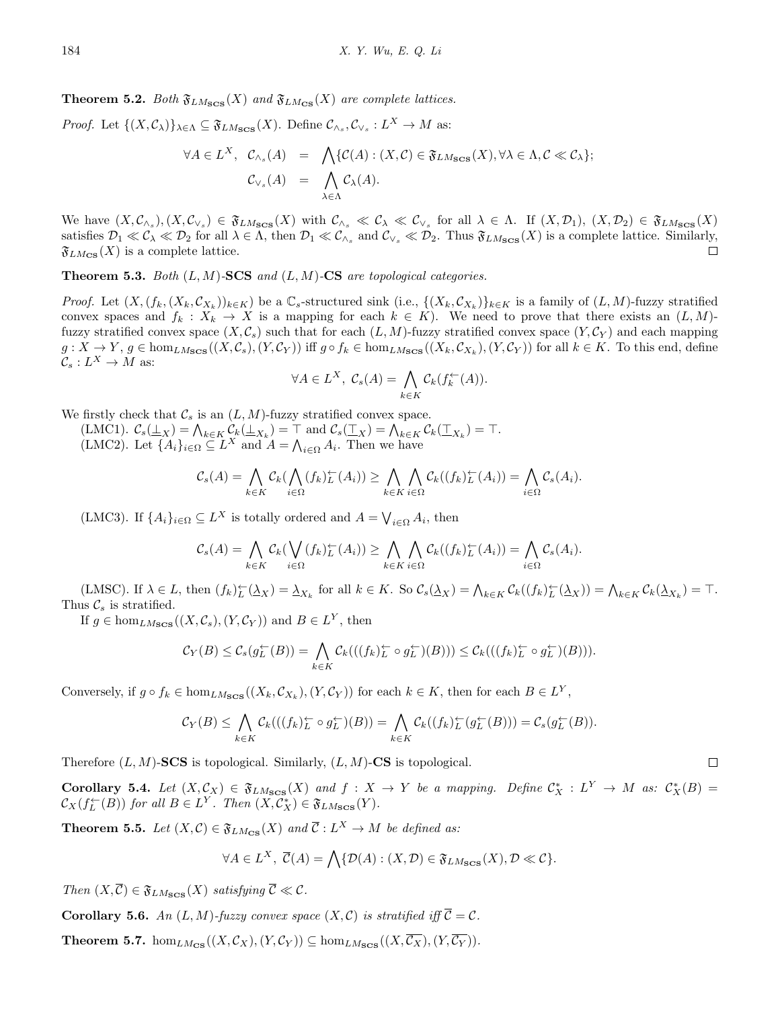**Theorem 5.2.** *Both*  $\mathfrak{F}_{L M_\text{SCS}}(X)$  *and*  $\mathfrak{F}_{L M_\text{CS}}(X)$  *are complete lattices.* 

*Proof.* Let  $\{(X, \mathcal{C}_\lambda)\}_{\lambda \in \Lambda} \subseteq \mathfrak{F}_{LM_{SCS}}(X)$ . Define  $\mathcal{C}_{\wedge_s}, \mathcal{C}_{\vee_s} : L^X \to M$  as:

$$
\forall A \in L^X, \quad \mathcal{C}_{\wedge_s}(A) = \bigwedge \{ \mathcal{C}(A) : (X, \mathcal{C}) \in \mathfrak{F}_{LM_{SCS}}(X), \forall \lambda \in \Lambda, \mathcal{C} \ll \mathcal{C}_{\lambda} \};
$$
  

$$
\mathcal{C}_{\vee_s}(A) = \bigwedge_{\lambda \in \Lambda} \mathcal{C}_{\lambda}(A).
$$

We have  $(X,\mathcal{C}_{\wedge_s}),(X,\mathcal{C}_{\vee_s})\in \mathfrak{F}_{LM_{SCS}}(X)$  with  $\mathcal{C}_{\wedge_s}\ll \mathcal{C}_{\lambda}\ll \mathcal{C}_{\vee_s}$  for all  $\lambda\in \Lambda$ . If  $(X,\mathcal{D}_1), (X,\mathcal{D}_2)\in \mathfrak{F}_{LM_{SCS}}(X)$ satisfies  $\mathcal{D}_1 \ll \mathcal{C}_\lambda \ll \mathcal{D}_2$  for all  $\lambda \in \Lambda$ , then  $\mathcal{D}_1 \ll \mathcal{C}_{\wedge_s}$  and  $\mathcal{C}_{\vee_s} \ll \mathcal{D}_2$ . Thus  $\mathfrak{F}_{LM_{\text{SCS}}}(X)$  is a complete lattice. Similarly,  $\mathfrak{F}_{LM_{\mathbf{CS}}}(X)$  is a complete lattice.  $\Box$ 

**Theorem 5.3.** *Both* (*L, M*)*-***SCS** *and* (*L, M*)*-***CS** *are topological categories.*

*Proof.* Let  $(X,(f_k,(X_k,\mathcal{C}_{X_k}))_{k\in K})$  be a  $\mathbb{C}_s$ -structured sink (i.e.,  $\{(X_k,\mathcal{C}_{X_k})\}_{k\in K}$  is a family of  $(L,M)$ -fuzzy stratified convex spaces and  $f_k: X_k \to X$  is a mapping for each  $k \in K$ ). We need to prove that there exists an  $(L, M)$ fuzzy stratified convex space  $(X, \mathcal{C}_s)$  such that for each  $(L, M)$ -fuzzy stratified convex space  $(Y, \mathcal{C}_Y)$  and each mapping  $g: X \to Y, g \in \text{hom}_{LM_{SCS}}((X, \mathcal{C}_s), (Y, \mathcal{C}_Y))$  iff  $g \circ f_k \in \text{hom}_{LM_{SCS}}((X_k, \mathcal{C}_{X_k}), (Y, \mathcal{C}_Y))$  for all  $k \in K$ . To this end, define  $\mathcal{C}_s: L^X \to M$  as:

$$
\forall A \in L^X, \ \mathcal{C}_s(A) = \bigwedge_{k \in K} \mathcal{C}_k(f_k^{\leftarrow}(A)).
$$

We firstly check that  $\mathcal{C}_s$  is an  $(L, M)$ -fuzzy stratified convex space.

(LMC1).  $\mathcal{C}_s(\underline{\perp}_X) = \bigwedge_{k \in K} \mathcal{C}_k(\underline{\perp}_{X_k}) = \top$  and  $\mathcal{C}_s(\underline{\perp}_X) = \bigwedge_{k \in K} \mathcal{C}_k(\underline{\perp}_{X_k}) = \top$ . (LMC2). Let  $\{A_i\}_{i\in\Omega} \subseteq L^X$  and  $A = \bigwedge_{i\in\Omega} A_i$ . Then we have

$$
\mathcal{C}_s(A) = \bigwedge_{k \in K} \mathcal{C}_k(\bigwedge_{i \in \Omega} (f_k)_L^{\leftarrow}(A_i)) \geq \bigwedge_{k \in K} \bigwedge_{i \in \Omega} \mathcal{C}_k((f_k)_L^{\leftarrow}(A_i)) = \bigwedge_{i \in \Omega} \mathcal{C}_s(A_i).
$$

(LMC3). If  $\{A_i\}_{i \in \Omega} \subseteq L^X$  is totally ordered and  $A = \bigvee_{i \in \Omega} A_i$ , then

$$
\mathcal{C}_s(A) = \bigwedge_{k \in K} \mathcal{C}_k(\bigvee_{i \in \Omega} (f_k)_L^{\leftarrow}(A_i)) \geq \bigwedge_{k \in K} \bigwedge_{i \in \Omega} \mathcal{C}_k((f_k)_L^{\leftarrow}(A_i)) = \bigwedge_{i \in \Omega} \mathcal{C}_s(A_i).
$$

(LMSC). If  $\lambda \in L$ , then  $(f_k)_L^{\leftarrow}(\underline{\lambda}_X) = \underline{\lambda}_{X_k}$  for all  $k \in K$ . So  $\mathcal{C}_s(\underline{\lambda}_X) = \bigwedge_{k \in K} \mathcal{C}_k((f_k)_L^{\leftarrow}(\underline{\lambda}_X)) = \bigwedge_{k \in K} \mathcal{C}_k(\underline{\lambda}_{X_k}) = \top$ . Thus  $\mathcal{C}_s$  is stratified.

If  $g \in \text{hom}_{LM_{SCS}}((X, \mathcal{C}_s), (Y, \mathcal{C}_Y))$  and  $B \in L^Y$ , then

$$
\mathcal{C}_Y(B) \leq \mathcal{C}_s(g_L^{\leftarrow}(B)) = \bigwedge_{k \in K} \mathcal{C}_k(((f_k)_L^{\leftarrow} \circ g_L^{\leftarrow})(B))) \leq \mathcal{C}_k(((f_k)_L^{\leftarrow} \circ g_L^{\leftarrow})(B))).
$$

Conversely, if  $g \circ f_k \in \text{hom}_{LM_{SCS}}((X_k, \mathcal{C}_{X_k}), (Y, \mathcal{C}_Y))$  for each  $k \in K$ , then for each  $B \in L^Y$ ,

$$
\mathcal{C}_Y(B) \leq \bigwedge_{k \in K} \mathcal{C}_k(((f_k)_L^\leftarrow \circ g_L^\leftarrow)(B)) = \bigwedge_{k \in K} \mathcal{C}_k((f_k)_L^\leftarrow(g_L^\leftarrow(B))) = \mathcal{C}_s(g_L^\leftarrow(B)).
$$

Therefore  $(L, M)$ -**SCS** is topological. Similarly,  $(L, M)$ -**CS** is topological.

**Corollary 5.4.** Let  $(X, \mathcal{C}_X) \in \mathfrak{F}_{LM_{SCS}}(X)$  and  $f: X \to Y$  be a mapping. Define  $\mathcal{C}_X^* : L^Y \to M$  as:  $\mathcal{C}_X^*(B) =$  $\mathcal{C}_X(f^{\leftarrow}_L(B))$  *for all*  $B \in L^Y$ *. Then*  $(X, \mathcal{C}^*_X) \in \mathfrak{F}_{LMSCS}(Y)$ *.* 

**Theorem 5.5.** *Let*  $(X, \mathcal{C}) \in \mathfrak{F}_{LM_{\text{CS}}}(X)$  and  $\overline{\mathcal{C}} : L^X \to M$  be defined as:

$$
\forall A \in L^X, \ \overline{\mathcal{C}}(A) = \bigwedge \{\mathcal{D}(A): (X, \mathcal{D}) \in \mathfrak{F}_{LM_{\bf SCS}}(X), \mathcal{D} \ll \mathcal{C}\}.
$$

*Then*  $(X,\overline{C}) \in \mathfrak{F}_{LMSCS}(X)$  *satisfying*  $\overline{C} \ll C$ *.* 

**Corollary 5.6.** An  $(L, M)$ -fuzzy convex space  $(X, C)$  is stratified iff  $\overline{C} = C$ .

**Theorem 5.7.** hom<sub>*LM***CS**</sub> ((*X, C<sub>X</sub></sub>), (Y, C<sub>Y</sub>))*  $\subseteq$  *hom<sub><i>LM***s**CS</sub> ((*X,*  $\overline{C_X}$ )*,*(*Y,*  $\overline{C_Y}$ )).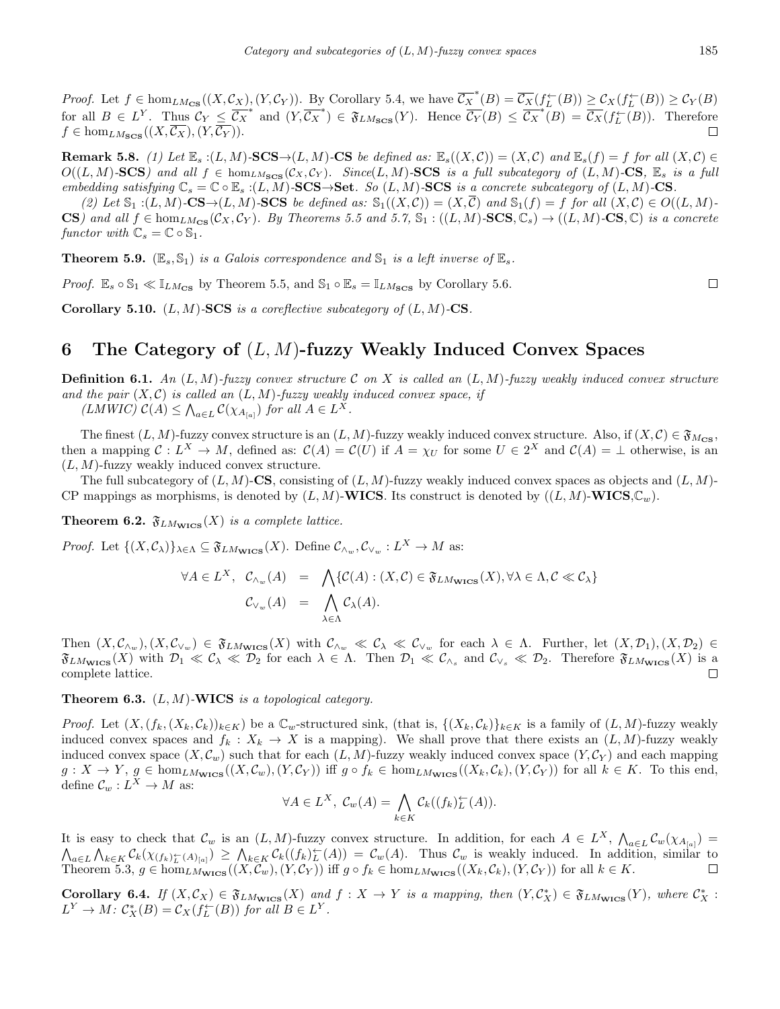*Proof.* Let  $f \in \text{hom}_{LM_{CS}}((X, \mathcal{C}_X), (Y, \mathcal{C}_Y))$ . By Corollary 5.4, we have  $\overline{\mathcal{C}_X}^*(B) = \overline{\mathcal{C}_X}(f_L^{\leftarrow}(B)) \geq \mathcal{C}_X(f_L^{\leftarrow}(B)) \geq \mathcal{C}_Y(B)$ for all  $B \in L^Y$ . Thus  $\mathcal{C}_Y \leq \overline{\mathcal{C}_X}^*$  and  $(Y, \overline{\mathcal{C}_X}^*) \in \mathfrak{F}_{LM_{SCSS}}(Y)$ . Hence  $\overline{\mathcal{C}_Y}(B) \leq \overline{\mathcal{C}_X}^*(B) = \overline{\mathcal{C}_X}(f_L^{\leftarrow}(B))$ . Therefore  $f \in \text{hom}_{LM_{\text{SCSS}}}((X, \overline{C_X})$ ,  $(Y, \overline{C_Y})$ ).  $\Box$ 

**Remark 5.8.** (1) Let  $\mathbb{E}_s : (L, M)$ -SCS $\rightarrow$ (L,M)-CS be defined as:  $\mathbb{E}_s((X, C)) = (X, C)$  and  $\mathbb{E}_s(f) = f$  for all  $(X, C) \in$  $O((L,M)\text{-}\mathbf{SCS})$  and all  $f \in \text{hom}_{LM_{\mathbf{SCS}}}(\mathcal{C}_X,\mathcal{C}_Y)$ . Since  $(L,M)\text{-}\mathbf{SCS}$  is a full subcategory of  $(L,M)\text{-}\mathbf{CS},\ \mathbb{E}_S$  is a full embedding satisfying  $\mathbb{C}_s = \mathbb{C} \circ \mathbb{E}_s : (L, M)$ -SCS $\rightarrow$ Set. So  $(L, M)$ -SCS is a concrete subcategory of  $(L, M)$ -CS.

(2) Let  $\mathbb{S}_1$  :  $(L, M)$ -CS $\rightarrow$  $(L, M)$ -SCS be defined as:  $\mathbb{S}_1((X, \mathcal{C})) = (X, \overline{\mathcal{C}})$  and  $\mathbb{S}_1(f) = f$  for all  $(X, \mathcal{C}) \in O((L, M)$ -**CS**) and all  $f \in \text{hom}_{LM_{CS}}(\mathcal{C}_X, \mathcal{C}_Y)$ . By Theorems 5.5 and 5.7,  $\mathbb{S}_1 : ((L,M)\text{-}\text{SCS}, \mathbb{C}_s) \to ((L,M)\text{-}\text{CS}, \mathbb{C})$  is a concrete *functor with*  $\mathbb{C}_s = \mathbb{C} \circ \mathbb{S}_1$ .

**Theorem 5.9.**  $(\mathbb{E}_s, \mathbb{S}_1)$  *is a Galois correspondence and*  $\mathbb{S}_1$  *is a left inverse of*  $\mathbb{E}_s$ *.* 

*Proof.*  $\mathbb{E}_s \circ \mathbb{S}_1 \ll \mathbb{I}_{LM_{\text{CS}}}$  by Theorem 5.5, and  $\mathbb{S}_1 \circ \mathbb{E}_s = \mathbb{I}_{LM_{\text{SCSS}}}$  by Corollary 5.6.

**Corollary 5.10.** (*L, M*) $\cdot$ **SCS** *is a coreflective subcategory of* (*L, M*) $\cdot$ **CS***.* 

## **6 The Category of** (*L, M*)**-fuzzy Weakly Induced Convex Spaces**

**Definition 6.1.** *An* (*L, M*)*-fuzzy convex structure C on X is called an* (*L, M*)*-fuzzy weakly induced convex structure and the pair*  $(X, \mathcal{C})$  *is called an*  $(L, M)$ *-fuzzy weakly induced convex space, if*  $(LMWIC) \mathcal{C}(A) \leq \bigwedge_{a \in L} \mathcal{C}(\chi_{A_{[a]}})$  *for all*  $A \in L^X$ .

The finest  $(L, M)$ -fuzzy convex structure is an  $(L, M)$ -fuzzy weakly induced convex structure. Also, if  $(X, C) \in \mathfrak{F}_{M_{\text{CS}}}$ , then a mapping  $C: L^X \to M$ , defined as:  $C(A) = C(U)$  if  $A = \chi_U$  for some  $U \in 2^X$  and  $C(A) = \perp$  otherwise, is an (*L, M*)-fuzzy weakly induced convex structure.

The full subcategory of (*L, M*)-**CS**, consisting of (*L, M*)-fuzzy weakly induced convex spaces as objects and (*L, M*)- CP mappings as morphisms, is denoted by  $(L, M)$ -**WICS**. Its construct is denoted by  $((L, M)$ -**WICS**, $\mathbb{C}_w$ ).

**Theorem 6.2.**  $\mathfrak{F}_{LMwics}(X)$  *is a complete lattice.* 

*Proof.* Let  $\{(X, \mathcal{C}_\lambda)\}_{\lambda \in \Lambda} \subseteq \mathfrak{F}_{LM_{\mathbf{WICS}}}(X)$ . Define  $\mathcal{C}_{\wedge_w}, \mathcal{C}_{\vee_w} : L^X \to M$  as:

$$
\forall A \in L^X, \quad \mathcal{C}_{\wedge_w}(A) = \bigwedge_{\lambda \in \Lambda} \{ \mathcal{C}(A) : (X, \mathcal{C}) \in \mathfrak{F}_{LM_{\mathbf{WICS}}}(X), \forall \lambda \in \Lambda, \mathcal{C} \ll \mathcal{C}_{\lambda} \}
$$

$$
\mathcal{C}_{\vee_w}(A) = \bigwedge_{\lambda \in \Lambda} \mathcal{C}_{\lambda}(A).
$$

Then  $(X,\mathcal{C}_{\wedge w}), (X,\mathcal{C}_{\vee w}) \in \mathfrak{F}_{LM_{\text{WICS}}}(X)$  with  $\mathcal{C}_{\wedge w} \ll \mathcal{C}_{\wedge} \ll \mathcal{C}_{\vee w}$  for each  $\lambda \in \Lambda$ . Further, let  $(X,\mathcal{D}_1), (X,\mathcal{D}_2) \in$  $\mathfrak{F}_{LM_{\mathbf{WICS}}}(X)$  with  $\mathcal{D}_1 \ll \mathcal{C}_{\lambda} \ll \mathcal{D}_2$  for each  $\lambda \in \Lambda$ . Then  $\mathcal{D}_1 \ll \mathcal{C}_{\lambda_s}$  and  $\mathcal{C}_{\vee_s} \ll \mathcal{D}_2$ . Therefore  $\mathfrak{F}_{LM_{\mathbf{WICS}}}(X)$  is a complete lattice.  $\Box$ 

**Theorem 6.3.** (*L, M*)*-***WICS** *is a topological category.*

*Proof.* Let  $(X, (f_k, (X_k, \mathcal{C}_k))_{k \in K})$  be a  $\mathbb{C}_w$ -structured sink, (that is,  $\{(X_k, \mathcal{C}_k)\}_{k \in K}$  is a family of  $(L, M)$ -fuzzy weakly induced convex spaces and  $f_k: X_k \to X$  is a mapping). We shall prove that there exists an  $(L, M)$ -fuzzy weakly induced convex space  $(X, \mathcal{C}_w)$  such that for each  $(L, M)$ -fuzzy weakly induced convex space  $(Y, \mathcal{C}_Y)$  and each mapping  $g: X \to Y, g \in \text{hom}_{LM_{\text{WICS}}}((X, \mathcal{C}_w), (Y, \mathcal{C}_Y))$  iff  $g \circ f_k \in \text{hom}_{LM_{\text{WICS}}}((X_k, \mathcal{C}_k), (Y, \mathcal{C}_Y))$  for all  $k \in K$ . To this end, define  $\mathcal{C}_w : L^X \to M$  as:

$$
\forall A \in L^X, \ \mathcal{C}_w(A) = \bigwedge_{k \in K} \mathcal{C}_k((f_k)_L^{\leftarrow}(A)).
$$

It is easy to check that  $\mathcal{C}_w$  is an  $(L, M)$ -fuzzy convex structure. In addition, for each  $A \in L^X$ ,  $\bigwedge_{a \in L} \mathcal{C}_w(\chi_{A_{[a]}})$  $\bigwedge_{a\in L}\bigwedge_{k\in K}\mathcal{C}_k(\chi_{(f_k)^{\leftarrow}_{L}(A)_{[a]}})\bigotimes \bigwedge_{k\in K}\mathcal{C}_k((f_k)^{\leftarrow}_{L}(A))=\mathcal{C}_w(A).$  Thus  $\mathcal{C}_w$  is weakly induced. In addition, similar to Theorem 5.3,  $g \in \text{hom}_{LM_{\text{WICS}}}(X, \mathcal{C}_w), (Y, \mathcal{C}_Y)$  iff  $g \circ f_k \in \text{hom}_{LM_{\text{WICS}}}(X_k, \mathcal{C}_k), (Y, \mathcal{C}_Y)$  for all  $k \in K$ .  $\Box$ 

**Corollary 6.4.** If  $(X, \mathcal{C}_X) \in \mathfrak{F}_{LM_{\text{WICS}}}(X)$  and  $f: X \to Y$  is a mapping, then  $(Y, \mathcal{C}_X^*) \in \mathfrak{F}_{LM_{\text{WICS}}}(Y)$ , where  $\mathcal{C}_X^*$ :  $L^Y \to M$ :  $\mathcal{C}_X^*(B) = \mathcal{C}_X(f_L^{\leftarrow}(B))$  *for all*  $B \in L^Y$ .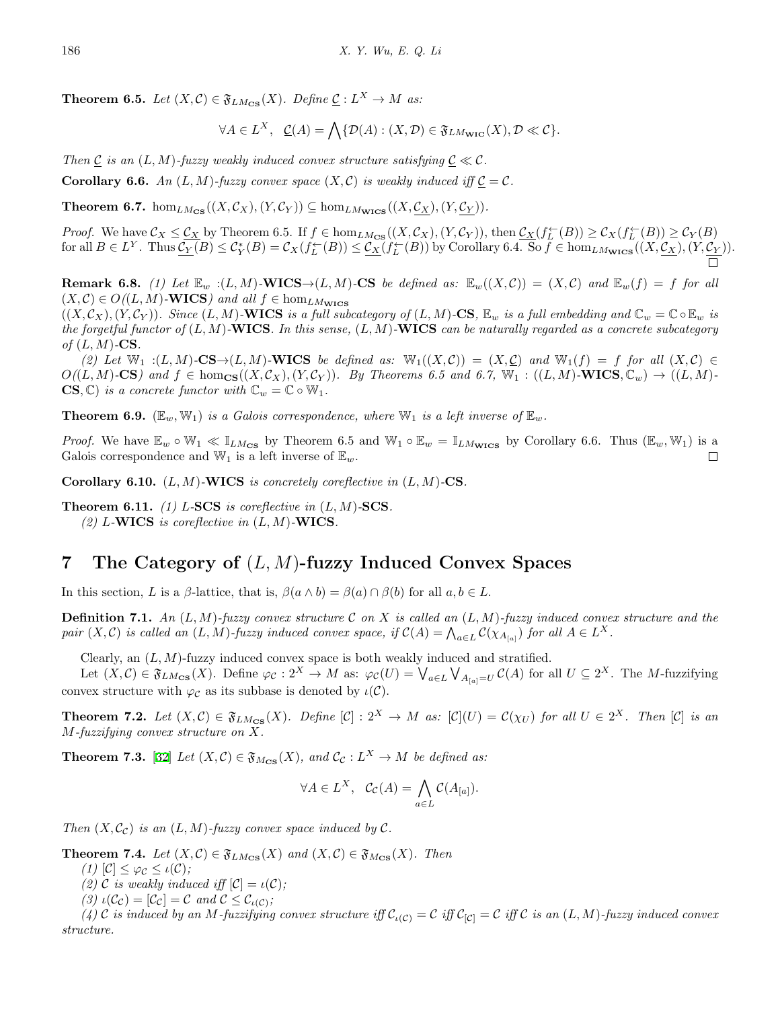**Theorem 6.5.** *Let*  $(X, \mathcal{C}) \in \mathfrak{F}_{LM_{\text{CS}}}(X)$ *. Define*  $\underline{\mathcal{C}} : L^X \to M$  *as:* 

$$
\forall A \in L^X, \ \ \underline{\mathcal{C}}(A) = \bigwedge \{ \mathcal{D}(A) : (X, \mathcal{D}) \in \mathfrak{F}_{LM_{\mathbf{WIC}}}(X), \mathcal{D} \ll \mathcal{C} \}.
$$

*Then*  $C$  *is an*  $(L, M)$ *-fuzzy weakly induced convex structure satisfying*  $C \ll C$ *.* 

**Corollary 6.6.** An  $(L, M)$ -fuzzy convex space  $(X, C)$  is weakly induced iff  $C = C$ .

**Theorem 6.7.** hom<sub>*LM***CS**</sub> ( $(X, \mathcal{C}_X)$ ,  $(Y, \mathcal{C}_Y)$ )  $\subseteq$  hom<sub>*LM***WICS**</sub> ( $(X, \mathcal{C}_X)$ ,  $(Y, \mathcal{C}_Y)$ ).

*Proof.* We have  $\mathcal{C}_X \leq \underline{\mathcal{C}_X}$  by Theorem 6.5. If  $f \in \text{hom}_{LM_{\mathbf{CS}}}((X, \mathcal{C}_X), (Y, \mathcal{C}_Y))$ , then  $\underline{\mathcal{C}_X}(f_L^{\leftarrow}(B)) \geq \mathcal{C}_X(f_L^{\leftarrow}(B)) \geq \mathcal{C}_Y(B)$ for all  $B \in L^Y$ . Thus  $\underline{\mathcal{C}_Y(B)} \leq \mathcal{C}_Y^*(B) = \mathcal{C}_X(f_L^\leftarrow(B)) \leq \underline{\mathcal{C}_X(f_L^\leftarrow(B))}$  by Corollary 6.4. So  $f \in \text{hom}_{LM_{\textbf{WICS}}}((X, \underline{\mathcal{C}_X}), (Y, \underline{\mathcal{C}_Y})).$ 

**Remark 6.8.** (1) Let  $\mathbb{E}_w$  :(L, M)-WICS $\rightarrow$ (L, M)-CS be defined as:  $\mathbb{E}_w((X,\mathcal{C})) = (X,\mathcal{C})$  and  $\mathbb{E}_w(f) = f$  for all  $(X, \mathcal{C})$  ∈  $O((L, M)$ **-WICS***) and all*  $f \in \text{hom}_{LM_{\text{WICS}}}$ 

 $((X,\mathcal{C}_X),(Y,\mathcal{C}_Y))$ . Since  $(L,M)$ -WICS is a full subcategory of  $(L,M)$ -CS,  $\mathbb{E}_w$  is a full embedding and  $\mathbb{C}_w = \mathbb{C} \circ \mathbb{E}_w$  is *the forgetful functor of* (*L, M*)*-***WICS***. In this sense,* (*L, M*)*-***WICS** *can be naturally regarded as a concrete subcategory of* (*L, M*)*-***CS***.*

(2) Let  $\mathbb{W}_1:(L,M)\text{-CS}\rightarrow(L,M)\text{-WICS}$  be defined as:  $\mathbb{W}_1((X,\mathcal{C}))=(X,\mathcal{C})$  and  $\mathbb{W}_1(f)=f$  for all  $(X,\mathcal{C})\in$  $O((L,M)\text{-CS})$  and  $f \in \text{hom}_{\text{CS}}((X,\mathcal{C}_X),(Y,\mathcal{C}_Y))$ . By Theorems 6.5 and 6.7,  $\mathbb{W}_1:((L,M)\text{-WICS},\mathbb{C}_w) \to ((L,M)\text{-}\text{-}\text{WICS})$ **CS***,*  $\mathbb{C}$ *) is a concrete functor with*  $\mathbb{C}_w = \mathbb{C} ∘ \mathbb{W}_1$ *.* 

**Theorem 6.9.** ( $\mathbb{E}_w$ ,  $\mathbb{W}_1$ ) *is a Galois correspondence, where*  $\mathbb{W}_1$  *is a left inverse of*  $\mathbb{E}_w$ *.* 

*Proof.* We have  $\mathbb{E}_w \circ \mathbb{W}_1 \ll \mathbb{I}_{LM_{\text{CS}}}$  by Theorem 6.5 and  $\mathbb{W}_1 \circ \mathbb{E}_w = \mathbb{I}_{LM_{\text{WICS}}}$  by Corollary 6.6. Thus  $(\mathbb{E}_w, \mathbb{W}_1)$  is a Galois correspondence and  $\mathbb{W}_1$  is a left inverse of  $\mathbb{E}_w$ . □

**Corollary 6.10.** (*L, M*)*-***WICS** *is concretely coreflective in* (*L, M*)*-***CS***.*

**Theorem 6.11.** (1) *L*-SCS *is coreflective in*  $(L, M)$ -SCS. *(2) L-***WICS** *is coreflective in* (*L, M*)*-***WICS***.*

#### **7 The Category of** (*L, M*)**-fuzzy Induced Convex Spaces**

In this section, *L* is a *β*-lattice, that is,  $\beta(a \wedge b) = \beta(a) \cap \beta(b)$  for all  $a, b \in L$ .

**Definition 7.1.** An  $(L, M)$ -fuzzy convex structure  $C$  on  $X$  is called an  $(L, M)$ -fuzzy induced convex structure and the pair  $(X, \mathcal{C})$  is called an  $(L, M)$ -fuzzy induced convex space, if  $\mathcal{C}(A) = \bigwedge_{a \in L} \mathcal{C}(\chi_{A_{[a]}})$  for all  $A \in L^X$ .

Clearly, an  $(L, M)$ -fuzzy induced convex space is both weakly induced and stratified.

Let  $(X, \mathcal{C}) \in \mathfrak{F}_{LM_{CS}}(X)$ . Define  $\varphi_{\mathcal{C}} : 2^X \to M$  as:  $\varphi_{\mathcal{C}}(U) = \bigvee_{a \in L} \bigvee_{A_{[a]}=U} \mathcal{C}(A)$  for all  $U \subseteq 2^X$ . The M-fuzzifying convex structure with  $\varphi_{\mathcal{C}}$  as its subbase is denoted by  $\iota(\mathcal{C})$ .

**Theorem 7.2.** Let  $(X, \mathcal{C}) \in \mathfrak{F}_{LM_{\text{CS}}}(X)$ . Define  $[\mathcal{C}] : 2^X \to M$  as:  $[\mathcal{C}](U) = \mathcal{C}(\chi_U)$  for all  $U \in 2^X$ . Then  $[\mathcal{C}]$  is an *M-fuzzifying convex structure on X.*

**Theorem 7.3.** [\[32](#page-17-10)] *Let*  $(X, \mathcal{C}) \in \mathfrak{F}_{M_{\text{CS}}}(X)$ *, and*  $\mathcal{C}_{\mathcal{C}} : L^X \to M$  *be defined as:* 

$$
\forall A \in L^X, \quad \mathcal{C}_{\mathcal{C}}(A) = \bigwedge_{a \in L} \mathcal{C}(A_{[a]}).
$$

*Then*  $(X, \mathcal{C}_{\mathcal{C}})$  *is an*  $(L, M)$ *-fuzzy convex space induced by*  $\mathcal{C}$ *.* 

**Theorem 7.4.** *Let*  $(X, \mathcal{C}) \in \mathfrak{F}_{LM_{CS}}(X)$  *and*  $(X, \mathcal{C}) \in \mathfrak{F}_{M_{CS}}(X)$ *. Then* 

 $(1)$   $[\mathcal{C}] \leq \varphi_{\mathcal{C}} \leq \iota(\mathcal{C});$ 

*(2)*  $\mathcal{C}$  *is weakly induced iff*  $[\mathcal{C}] = \iota(\mathcal{C})$ *;* 

 $(3)$   $\iota(\mathcal{C}_{\mathcal{C}}) = [\mathcal{C}_{\mathcal{C}}] = \mathcal{C}$  *and*  $\mathcal{C} \leq \mathcal{C}_{\iota(\mathcal{C})}$ ;

(4) C is induced by an M-fuzzifying convex structure iff  $C_{\iota(C)} = C$  iff  $C_{[C]} = C$  iff C is an  $(L, M)$ -fuzzy induced convex *structure.*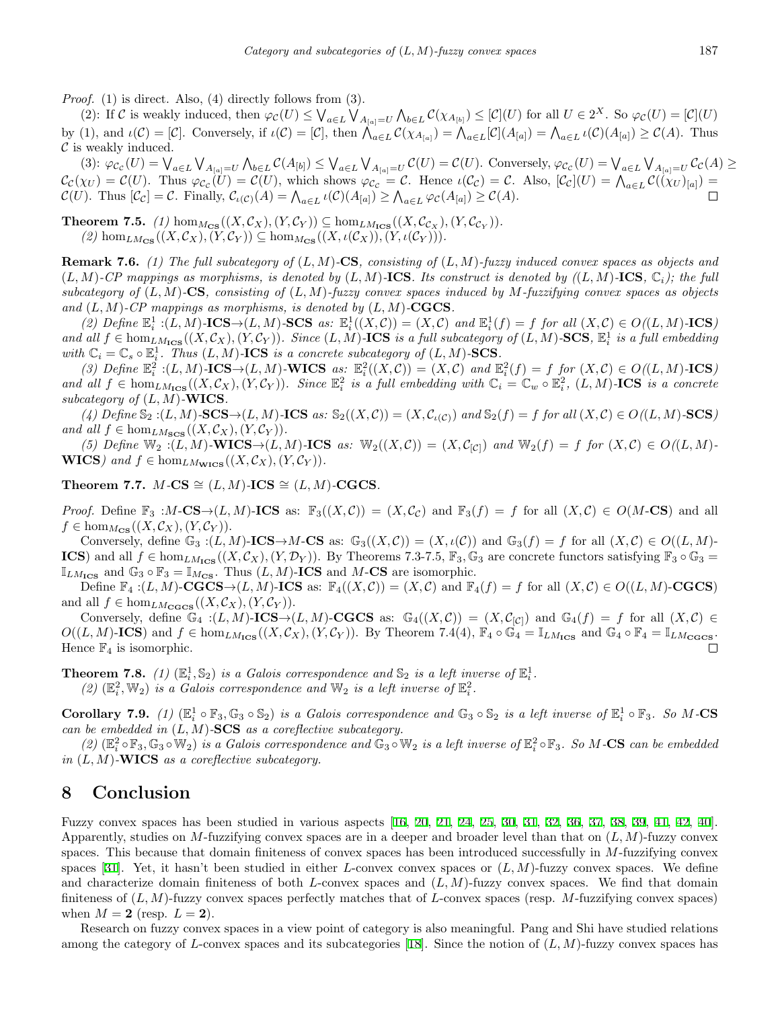*Proof.* (1) is direct. Also, (4) directly follows from (3).

(2): If C is weakly induced, then  $\varphi_{\mathcal{C}}(U) \leq \bigvee_{a \in L} \bigvee_{A_{[a]}=U} \bigwedge_{b \in L} \mathcal{C}(\chi_{A_{[b]}}) \leq [\mathcal{C}](U)$  for all  $U \in 2^X$ . So  $\varphi_{\mathcal{C}}(U) = [\mathcal{C}](U)$ by (1), and  $\iota(\mathcal{C}) = [\mathcal{C}]$ . Conversely, if  $\iota(\mathcal{C}) = [\mathcal{C}]$ , then  $\bigwedge_{a \in L}^{\infty} C(\chi_{A_{[a]}}) = \bigwedge_{a \in L} [\mathcal{C}](A_{[a]}) = \bigwedge_{a \in L} \iota(\mathcal{C})(A_{[a]}) \geq \mathcal{C}(A)$ . Thus *C* is weakly induced.

(3):  $\varphi_{\mathcal{C}_{\mathcal{C}}}(U) = \bigvee_{a \in L} \bigvee_{A_{[a]}=U} \bigwedge_{b \in L} \mathcal{C}(A_{[b]}) \leq \bigvee_{a \in L} \bigvee_{A_{[a]}=U} \mathcal{C}(U) = \mathcal{C}(U)$ . Conversely,  $\varphi_{\mathcal{C}_{\mathcal{C}}}(U) = \bigvee_{a \in L} \bigvee_{A_{[a]}=U} \mathcal{C}_{\mathcal{C}}(A) \geq$  $\mathcal{C}_{\mathcal{C}}(\chi_U) = \mathcal{C}(U)$ . Thus  $\varphi_{\mathcal{C}_{\mathcal{C}}}(U) = \mathcal{C}(U)$ , which shows  $\varphi_{\mathcal{C}_{\mathcal{C}}} = \mathcal{C}$ . Hence  $\iota(\mathcal{C}_{\mathcal{C}}) = \mathcal{C}$ . Also,  $[\mathcal{C}_{\mathcal{C}}](U) = \bigwedge_{a \in L} \mathcal{C}((\chi_U)_{[a]}) =$  $\mathcal{C}(U)$ . Thus  $[\mathcal{C}_{\mathcal{C}}] = \mathcal{C}$ . Finally,  $\mathcal{C}_{\iota(\mathcal{C})}(A) = \bigwedge_{a \in L} \iota(\mathcal{C})(A_{[a]}) \ge \bigwedge_{a \in L} \varphi_{\mathcal{C}}(A_{[a]}) \ge \mathcal{C}(A)$ .

**Theorem 7.5.** (1)  $\hom_{M_{\text{CS}}}(X, \mathcal{C}_X), (Y, \mathcal{C}_Y)) \subseteq \hom_{LM_{\text{ICS}}}(X, \mathcal{C}_{\mathcal{C}_X}), (Y, \mathcal{C}_{\mathcal{C}_Y})$ ).  $(2)$  hom<sub>*LM***CS**</sub>  $((X, \mathcal{C}_X), (Y, \mathcal{C}_Y)) \subseteq \text{hom}_{M_{CS}}((X, \iota(\mathcal{C}_X)), (Y, \iota(\mathcal{C}_Y))).$ 

**Remark 7.6.** *(1) The full subcategory of* (*L, M*)*-***CS***, consisting of* (*L, M*)*-fuzzy induced convex spaces as objects and*  $(L, M)$ -CP mappings as morphisms, is denoted by  $(L, M)$ -**ICS***. Its construct is denoted by*  $((L, M)$ *-ICS*,  $\mathbb{C}_i$ *); the full subcategory of* (*L, M*)*-***CS***, consisting of* (*L, M*)*-fuzzy convex spaces induced by M-fuzzifying convex spaces as objects* and  $(L, M)$ -CP mappings as morphisms, is denoted by  $(L, M)$ -CGCS.

(2) Define  $\mathbb{E}_i^1:(L,M)\text{-}\mathbf{ICS}\to(L,M)\text{-}\mathbf{SCS}$  as:  $\mathbb{E}_i^1((X,\mathcal{C}))=(X,\mathcal{C})$  and  $\mathbb{E}_i^1(f)=f$  for all  $(X,\mathcal{C})\in O((L,M)\text{-}\mathbf{ICS})$ and all  $f \in \text{hom}_{LM_{ICS}}((X, \mathcal{C}_X), (Y, \mathcal{C}_Y))$ . Since  $(L, M)$ -ICS is a full subcategory of  $(L, M)$ -SCS,  $\mathbb{E}_i^1$  is a full embedding *with*  $\mathbb{C}_i = \mathbb{C}_s \circ \mathbb{E}_i^1$ *. Thus*  $(L, M)$ **-ICS** *is a concrete subcategory of*  $(L, M)$ **-SCS***.* 

(3) Define  $\mathbb{E}_i^2:(L,M)\text{-}\mathbf{ICS}\rightarrow(L,M)\text{-}\mathbf{WICS}$  as:  $\mathbb{E}_i^2((X,\mathcal{C}))=(X,\mathcal{C})$  and  $\mathbb{E}_i^2(f)=f$  for  $(X,\mathcal{C})\in O((L,M)\text{-}\mathbf{ICS})$ and all  $f \in \text{hom}_{LM_{ICS}}((X, \mathcal{C}_X), (Y, \mathcal{C}_Y))$ . Since  $\mathbb{E}^2_i$  is a full embedding with  $\mathbb{C}_i = \mathbb{C}_w \circ \mathbb{E}^2_i$ ,  $(L, M)$ -ICS is a concrete *subcategory of*  $(L, M)$ **-WICS***.* 

(4) Define  $\mathbb{S}_2$ :  $(L, M)$ -SCS $\rightarrow$  $(L, M)$ -ICS as:  $\mathbb{S}_2((X, C)) = (X, C_{\iota(C)})$  and  $\mathbb{S}_2(f) = f$  for all  $(X, C) \in O((L, M)$ -SCS)  $and$   $all f \in \text{hom}_{LM_{SCS}}((X, \mathcal{C}_X), (Y, \mathcal{C}_Y)).$ 

(5) Define  $\mathbb{W}_2:(L,M)\text{-}\mathbf{WICS}\rightarrow(L,M)\text{-}\mathbf{ICS}$  as:  $\mathbb{W}_2((X,\mathcal{C}))=(X,\mathcal{C}_{[\mathcal{C}]})$  and  $\mathbb{W}_2(f)=f$  for  $(X,\mathcal{C})\in O((L,M)\text{-}\mathbb{W})$ **WICS***)* and  $f \in \text{hom}_{LM_{\text{WICS}}}((X, \mathcal{C}_X), (Y, \mathcal{C}_Y)).$ 

**Theorem 7.7.** *M-CS*  $\cong$  (*L, M*)*-ICS*  $\cong$  (*L, M*)*-CGCS.* 

*Proof.* Define  $\mathbb{F}_3$ : M-CS $\rightarrow$ (L, M)-ICS as:  $\mathbb{F}_3((X,\mathcal{C})) = (X,\mathcal{C}_\mathcal{C})$  and  $\mathbb{F}_3(f) = f$  for all  $(X,\mathcal{C}) \in O(M\text{-CS})$  and all  $f \in \text{hom}_{M_{\text{CS}}}((X, \mathcal{C}_X), (Y, \mathcal{C}_Y)).$ 

Conversely, define  $\mathbb{G}_3$  : $(L, M)$ -**ICS** $\rightarrow$ *M*-**CS** as:  $\mathbb{G}_3((X, \mathcal{C})) = (X, \iota(\mathcal{C}))$  and  $\mathbb{G}_3(f) = f$  for all  $(X, \mathcal{C}) \in O((L, M)$ -**ICS**) and all  $f \in \text{hom}_{LM_{ICS}}((X, \mathcal{C}_X), (Y, \mathcal{D}_Y))$ . By Theorems 7.3-7.5,  $\mathbb{F}_3$ ,  $\mathbb{G}_3$  are concrete functors satisfying  $\mathbb{F}_3 \circ \mathbb{G}_3 =$  $\mathbb{I}_{LM_{ICS}}$  and  $\mathbb{G}_3 \circ \mathbb{F}_3 = \mathbb{I}_{M_{CS}}$ . Thus  $(L, M)$ -**ICS** and *M*-**CS** are isomorphic.

Define  $\mathbb{F}_4$  : $(L, M)$ -**CGCS** $\rightarrow$  $(L, M)$ -**ICS** as:  $\mathbb{F}_4((X, \mathcal{C})) = (X, \mathcal{C})$  and  $\mathbb{F}_4(f) = f$  for all  $(X, \mathcal{C}) \in O((L, M)$ -**CGCS**) and all  $f \in \text{hom}_{LM_{\text{CGCS}}}((X, \mathcal{C}_X), (Y, \mathcal{C}_Y)).$ 

Conversely, define  $\mathbb{G}_4$  : $(L, M)$ **-ICS** $\rightarrow$  $(L, M)$ **-CGCS** as:  $\mathbb{G}_4((X, \mathcal{C})) = (X, \mathcal{C}_{[\mathcal{C}]})$  and  $\mathbb{G}_4(f) = f$  for all  $(X, \mathcal{C}) \in$  $O((L,M)-\text{ICS})$  and  $f \in \text{hom}_{LM_{\text{ICS}}}((X,\mathcal{C}_X),(Y,\mathcal{C}_Y))$ . By Theorem 7.4(4),  $\mathbb{F}_4 \circ \mathbb{G}_4 = \mathbb{I}_{LM_{\text{ICS}}}$  and  $\mathbb{G}_4 \circ \mathbb{F}_4 = \mathbb{I}_{LM_{\text{GGCS}}}$ . Hence  $\mathbb{F}_4$  is isomorphic. П

**Theorem 7.8.** (1)  $(\mathbb{E}_i^1, \mathbb{S}_2)$  *is a Galois correspondence and*  $\mathbb{S}_2$  *is a left inverse of*  $\mathbb{E}_i^1$ *.* (2)  $(\mathbb{E}_i^2, \mathbb{W}_2)$  *is a Galois correspondence and*  $\mathbb{W}_2$  *is a left inverse of*  $\mathbb{E}_i^2$ *.* 

**Corollary 7.9.** (1)  $(\mathbb{E}_i^1 \circ \mathbb{F}_3, \mathbb{G}_3 \circ \mathbb{S}_2)$  is a Galois correspondence and  $\mathbb{G}_3 \circ \mathbb{S}_2$  is a left inverse of  $\mathbb{E}_i^1 \circ \mathbb{F}_3$ . So M-CS *can be embedded in* (*L, M*)*-***SCS** *as a coreflective subcategory.*

 $(2)$  ( $\mathbb{E}_i^2 \circ \mathbb{F}_3$ ,  $\mathbb{G}_3 \circ \mathbb{W}_2$ ) *is a Galois correspondence and*  $\mathbb{G}_3 \circ \mathbb{W}_2$  *is a left inverse of*  $\mathbb{E}_i^2 \circ \mathbb{F}_3$ *. So M***-CS** *can be embedded in* (*L, M*)*-***WICS** *as a coreflective subcategory.*

#### **8 Conclusion**

Fuzzy convex spaces has been studied in various aspects [[16,](#page-16-14) [20,](#page-16-22) [21](#page-16-23), [24](#page-16-13), [25](#page-17-17), [30](#page-17-3), [31](#page-17-2), [32,](#page-17-10) [36,](#page-17-4) [37,](#page-17-6) [38,](#page-17-5) [39,](#page-17-18) [41](#page-17-7), [42](#page-17-9), [40](#page-17-8)]. Apparently, studies on *M*-fuzzifying convex spaces are in a deeper and broader level than that on (*L, M*)-fuzzy convex spaces. This because that domain finiteness of convex spaces has been introduced successfully in *M*-fuzzifying convex spaces [\[31](#page-17-2)]. Yet, it hasn't been studied in either *L*-convex convex spaces or (*L, M*)-fuzzy convex spaces. We define and characterize domain finiteness of both *L*-convex spaces and (*L, M*)-fuzzy convex spaces. We find that domain finiteness of (*L, M*)-fuzzy convex spaces perfectly matches that of *L*-convex spaces (resp. *M*-fuzzifying convex spaces) when  $M = 2$  (resp.  $L = 2$ ).

Research on fuzzy convex spaces in a view point of category is also meaningful. Pang and Shi have studied relations among the category of *L*-convex spaces and its subcategories [[18\]](#page-16-20). Since the notion of (*L, M*)-fuzzy convex spaces has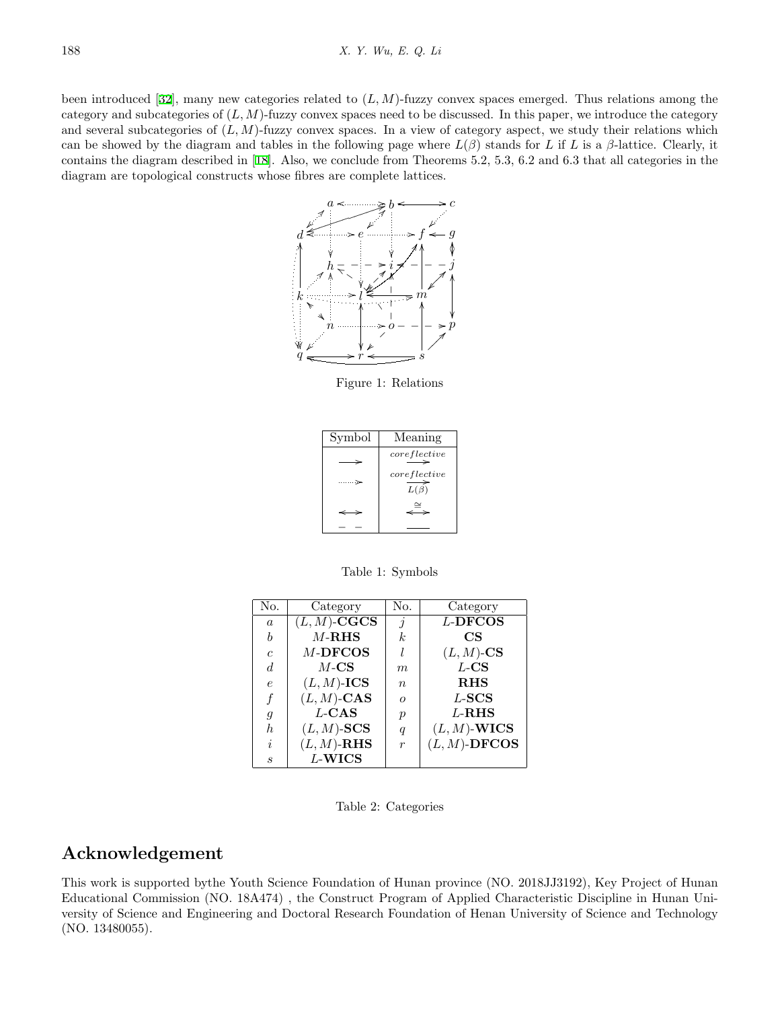been introduced [[32\]](#page-17-10), many new categories related to (*L, M*)-fuzzy convex spaces emerged. Thus relations among the category and subcategories of (*L, M*)-fuzzy convex spaces need to be discussed. In this paper, we introduce the category and several subcategories of (*L, M*)-fuzzy convex spaces. In a view of category aspect, we study their relations which can be showed by the diagram and tables in the following page where  $L(\beta)$  stands for *L* if *L* is a  $\beta$ -lattice. Clearly, it contains the diagram described in [[18\]](#page-16-20). Also, we conclude from Theorems 5.2, 5.3, 6.2 and 6.3 that all categories in the diagram are topological constructs whose fibres are complete lattices.



Figure 1: Relations

| Symbol | Meaning                    |  |  |
|--------|----------------------------|--|--|
|        | coreflective               |  |  |
| . 5    | coreflective<br>$L(\beta)$ |  |  |
|        | .=્                        |  |  |
|        |                            |  |  |

Table 1: Symbols

| N <sub>o</sub> . | Category       | No.              | Category        |
|------------------|----------------|------------------|-----------------|
| $\alpha$         | $(L, M)$ -CGCS | $\dot{\eta}$     | $L$ -DFCOS      |
| h                | $M$ -RHS       | k.               | CS              |
| $\epsilon$       | $M$ -DFCOS     |                  | $(L, M)$ -CS    |
| $\overline{d}$   | $M$ -CS        | m                | $L$ -CS         |
| $\epsilon$       | $(L, M)$ -ICS  | $\eta$           | <b>RHS</b>      |
|                  | $(L, M)$ -CAS  | $\Omega$         | $L$ -SCS        |
| g                | $L$ -CAS       | $\boldsymbol{p}$ | $L-RHS$         |
| h.               | $(L, M)$ -SCS  | $\boldsymbol{q}$ | $(L, M)$ -WICS  |
| i.               | $(L, M)$ -RHS  | $\boldsymbol{r}$ | $(L, M)$ -DFCOS |
| S                | L-WICS         |                  |                 |

Table 2: Categories

### **Acknowledgement**

This work is supported bythe Youth Science Foundation of Hunan province (NO. 2018JJ3192), Key Project of Hunan Educational Commission (NO. 18A474) , the Construct Program of Applied Characteristic Discipline in Hunan University of Science and Engineering and Doctoral Research Foundation of Henan University of Science and Technology (NO. 13480055).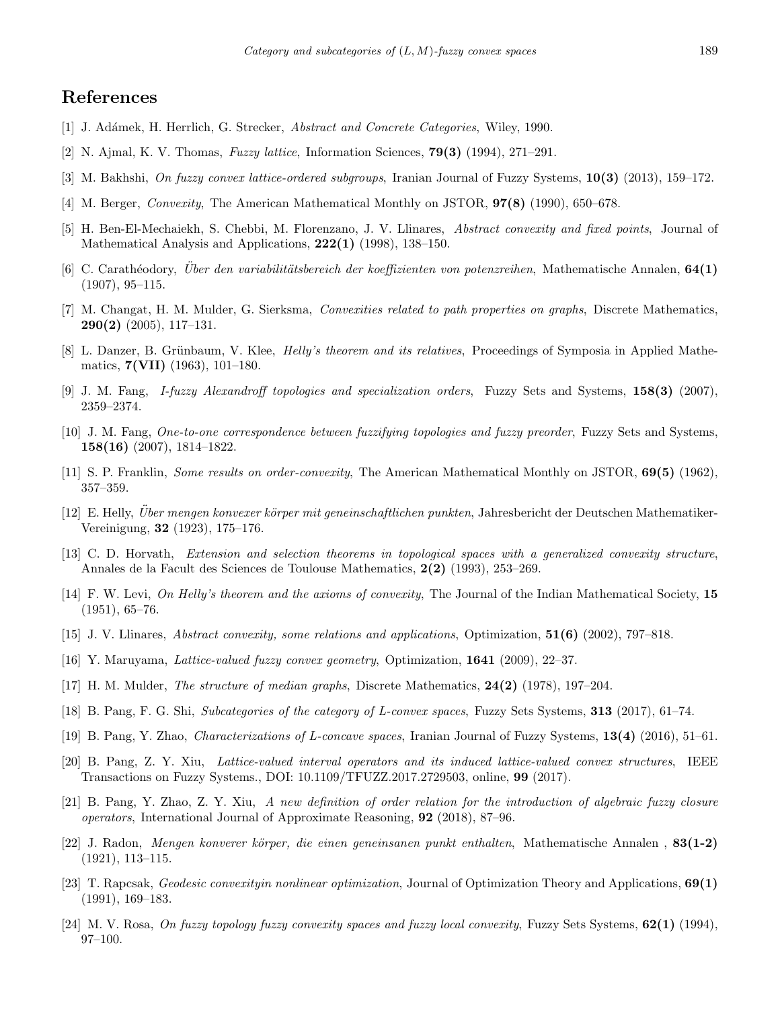## **References**

- <span id="page-16-19"></span>[1] J. Ad´amek, H. Herrlich, G. Strecker, *Abstract and Concrete Categories*, Wiley, 1990.
- <span id="page-16-17"></span>[2] N. Ajmal, K. V. Thomas, *Fuzzy lattice*, Information Sciences, **79(3)** (1994), 271–291.
- <span id="page-16-16"></span>[3] M. Bakhshi, *On fuzzy convex lattice-ordered subgroups*, Iranian Journal of Fuzzy Systems, **10(3)** (2013), 159–172.
- <span id="page-16-0"></span>[4] M. Berger, *Convexity*, The American Mathematical Monthly on JSTOR, **97(8)** (1990), 650–678.
- <span id="page-16-1"></span>[5] H. Ben-El-Mechaiekh, S. Chebbi, M. Florenzano, J. V. Llinares, *Abstract convexity and fixed points*, Journal of Mathematical Analysis and Applications, **222(1)** (1998), 138–150.
- <span id="page-16-5"></span>[6] C. Carath´eodory, *Uber den variabilit¨atsbereich der koeffizienten von potenzreihen ¨* , Mathematische Annalen, **64(1)** (1907), 95–115.
- <span id="page-16-11"></span>[7] M. Changat, H. M. Mulder, G. Sierksma, *Convexities related to path properties on graphs*, Discrete Mathematics, **290(2)** (2005), 117–131.
- <span id="page-16-8"></span>[8] L. Danzer, B. Grünbaum, V. Klee, *Helly's theorem and its relatives*, Proceedings of Symposia in Applied Mathematics, **7(VII)** (1963), 101–180.
- <span id="page-16-15"></span>[9] J. M. Fang, *I-fuzzy Alexandroff topologies and specialization orders*, Fuzzy Sets and Systems, **158(3)** (2007), 2359–2374.
- <span id="page-16-18"></span>[10] J. M. Fang, *One-to-one correspondence between fuzzifying topologies and fuzzy preorder*, Fuzzy Sets and Systems, **158(16)** (2007), 1814–1822.
- <span id="page-16-10"></span>[11] S. P. Franklin, *Some results on order-convexity*, The American Mathematical Monthly on JSTOR, **69(5)** (1962), 357–359.
- <span id="page-16-6"></span>[12] E. Helly, *Über mengen konvexer körper mit geneinschaftlichen punkten*, Jahresbericht der Deutschen Mathematiker-Vereinigung, **32** (1923), 175–176.
- <span id="page-16-2"></span>[13] C. D. Horvath, *Extension and selection theorems in topological spaces with a generalized convexity structure*, Annales de la Facult des Sciences de Toulouse Mathematics, **2(2)** (1993), 253–269.
- <span id="page-16-9"></span>[14] F. W. Levi, *On Helly's theorem and the axioms of convexity*, The Journal of the Indian Mathematical Society, **15** (1951), 65–76.
- <span id="page-16-3"></span>[15] J. V. Llinares, *Abstract convexity, some relations and applications*, Optimization, **51(6)** (2002), 797–818.
- <span id="page-16-14"></span>[16] Y. Maruyama, *Lattice-valued fuzzy convex geometry*, Optimization, **1641** (2009), 22–37.
- <span id="page-16-12"></span>[17] H. M. Mulder, *The structure of median graphs*, Discrete Mathematics, **24(2)** (1978), 197–204.
- <span id="page-16-20"></span>[18] B. Pang, F. G. Shi, *Subcategories of the category of L-convex spaces*, Fuzzy Sets Systems, **313** (2017), 61–74.
- <span id="page-16-21"></span>[19] B. Pang, Y. Zhao, *Characterizations of L-concave spaces*, Iranian Journal of Fuzzy Systems, **13(4)** (2016), 51–61.
- <span id="page-16-22"></span>[20] B. Pang, Z. Y. Xiu, *Lattice-valued interval operators and its induced lattice-valued convex structures*, IEEE Transactions on Fuzzy Systems., DOI: 10.1109/TFUZZ.2017.2729503, online, **99** (2017).
- <span id="page-16-23"></span>[21] B. Pang, Y. Zhao, Z. Y. Xiu, *A new definition of order relation for the introduction of algebraic fuzzy closure operators*, International Journal of Approximate Reasoning, **92** (2018), 87–96.
- <span id="page-16-7"></span>[22] J. Radon, *Mengen konverer k¨orper, die einen geneinsanen punkt enthalten*, Mathematische Annalen , **83(1-2)** (1921), 113–115.
- <span id="page-16-4"></span>[23] T. Rapcsak, *Geodesic convexityin nonlinear optimization*, Journal of Optimization Theory and Applications, **69(1)** (1991), 169–183.
- <span id="page-16-13"></span>[24] M. V. Rosa, *On fuzzy topology fuzzy convexity spaces and fuzzy local convexity*, Fuzzy Sets Systems, **62(1)** (1994), 97–100.